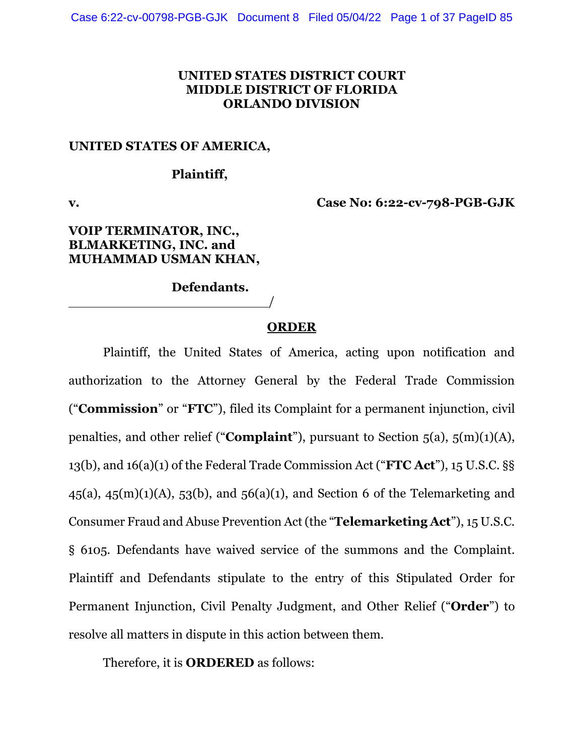# **UNITED STATES DISTRICT COURT MIDDLE DISTRICT OF FLORIDA ORLANDO DIVISION**

# **UNITED STATES OF AMERICA,**

# **Plaintiff,**

**v. Case No: 6:22-cv-798-PGB-GJK**

# **VOIP TERMINATOR, INC., BLMARKETING, INC. and MUHAMMAD USMAN KHAN,**

**Defendants.**

# **ORDER**

/

Plaintiff, the United States of America, acting upon notification and authorization to the Attorney General by the Federal Trade Commission ("**Commission**" or "**FTC**"), filed its Complaint for a permanent injunction, civil penalties, and other relief ("**Complaint**"), pursuant to Section 5(a), 5(m)(1)(A), 13(b), and 16(a)(1) of the Federal Trade Commission Act ("**FTC Act**"), 15 U.S.C. §§  $45(a)$ ,  $45(m)(1)(A)$ ,  $53(b)$ , and  $56(a)(1)$ , and Section 6 of the Telemarketing and Consumer Fraud and Abuse Prevention Act (the "**Telemarketing Act**"), 15 U.S.C. § 6105. Defendants have waived service of the summons and the Complaint. Plaintiff and Defendants stipulate to the entry of this Stipulated Order for Permanent Injunction, Civil Penalty Judgment, and Other Relief ("**Order**") to resolve all matters in dispute in this action between them.

Therefore, it is **ORDERED** as follows: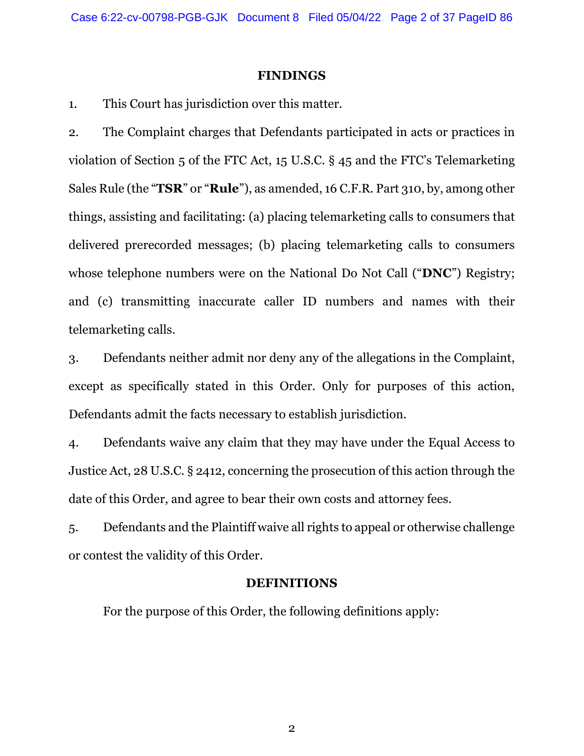# **FINDINGS**

1. This Court has jurisdiction over this matter.

2. The Complaint charges that Defendants participated in acts or practices in violation of Section 5 of the FTC Act, 15 U.S.C. § 45 and the FTC's Telemarketing Sales Rule (the "**TSR**" or "**Rule**"), as amended, 16 C.F.R. Part 310, by, among other things, assisting and facilitating: (a) placing telemarketing calls to consumers that delivered prerecorded messages; (b) placing telemarketing calls to consumers whose telephone numbers were on the National Do Not Call ("**DNC**") Registry; and (c) transmitting inaccurate caller ID numbers and names with their telemarketing calls.

3. Defendants neither admit nor deny any of the allegations in the Complaint, except as specifically stated in this Order. Only for purposes of this action, Defendants admit the facts necessary to establish jurisdiction.

4. Defendants waive any claim that they may have under the Equal Access to Justice Act, 28 U.S.C. § 2412, concerning the prosecution of this action through the date of this Order, and agree to bear their own costs and attorney fees.

5. Defendants and the Plaintiff waive all rights to appeal or otherwise challenge or contest the validity of this Order.

# **DEFINITIONS**

For the purpose of this Order, the following definitions apply:

2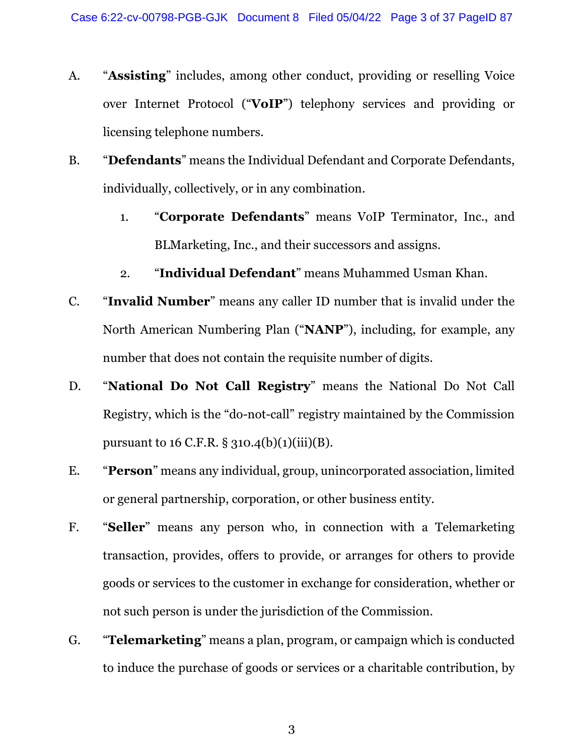- A. "**Assisting**" includes, among other conduct, providing or reselling Voice over Internet Protocol ("**VoIP**") telephony services and providing or licensing telephone numbers.
- B. "**Defendants**" means the Individual Defendant and Corporate Defendants, individually, collectively, or in any combination.
	- 1. "**Corporate Defendants**" means VoIP Terminator, Inc., and BLMarketing, Inc., and their successors and assigns.
	- 2. "**Individual Defendant**" means Muhammed Usman Khan.
- C. "**Invalid Number**" means any caller ID number that is invalid under the North American Numbering Plan ("**NANP**"), including, for example, any number that does not contain the requisite number of digits.
- D. "**National Do Not Call Registry**" means the National Do Not Call Registry, which is the "do-not-call" registry maintained by the Commission pursuant to 16 C.F.R. § 310.4(b)(1)(iii)(B).
- E. "**Person**" means any individual, group, unincorporated association, limited or general partnership, corporation, or other business entity.
- F. "**Seller**" means any person who, in connection with a Telemarketing transaction, provides, offers to provide, or arranges for others to provide goods or services to the customer in exchange for consideration, whether or not such person is under the jurisdiction of the Commission.
- G. "**Telemarketing**" means a plan, program, or campaign which is conducted to induce the purchase of goods or services or a charitable contribution, by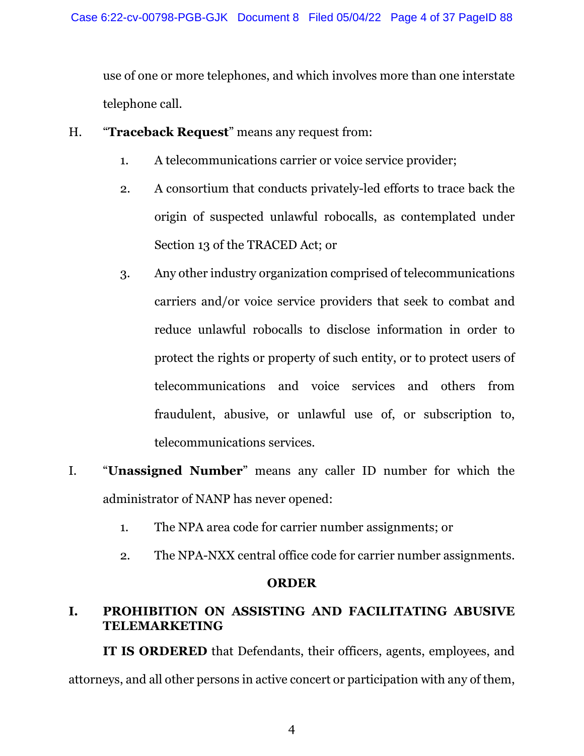use of one or more telephones, and which involves more than one interstate telephone call.

- H. "**Traceback Request**" means any request from:
	- 1. A telecommunications carrier or voice service provider;
	- 2. A consortium that conducts privately-led efforts to trace back the origin of suspected unlawful robocalls, as contemplated under Section 13 of the TRACED Act; or
	- 3. Any other industry organization comprised of telecommunications carriers and/or voice service providers that seek to combat and reduce unlawful robocalls to disclose information in order to protect the rights or property of such entity, or to protect users of telecommunications and voice services and others from fraudulent, abusive, or unlawful use of, or subscription to, telecommunications services.
- I. "**Unassigned Number**" means any caller ID number for which the administrator of NANP has never opened:
	- 1. The NPA area code for carrier number assignments; or
	- 2. The NPA-NXX central office code for carrier number assignments.

# **ORDER**

# **I. PROHIBITION ON ASSISTING AND FACILITATING ABUSIVE TELEMARKETING**

**IT IS ORDERED** that Defendants, their officers, agents, employees, and attorneys, and all other persons in active concert or participation with any of them,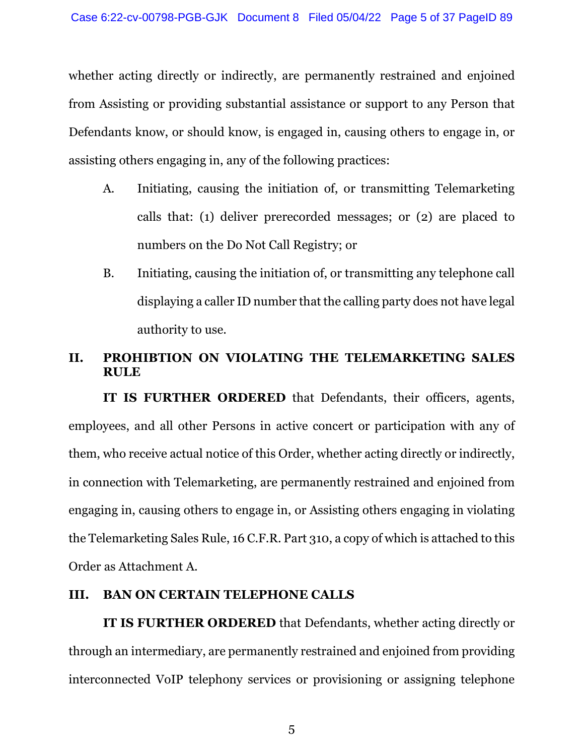whether acting directly or indirectly, are permanently restrained and enjoined from Assisting or providing substantial assistance or support to any Person that Defendants know, or should know, is engaged in, causing others to engage in, or assisting others engaging in, any of the following practices:

- A. Initiating, causing the initiation of, or transmitting Telemarketing calls that: (1) deliver prerecorded messages; or (2) are placed to numbers on the Do Not Call Registry; or
- B. Initiating, causing the initiation of, or transmitting any telephone call displaying a caller ID number that the calling party does not have legal authority to use.

# **II. PROHIBTION ON VIOLATING THE TELEMARKETING SALES RULE**

**IT IS FURTHER ORDERED** that Defendants, their officers, agents, employees, and all other Persons in active concert or participation with any of them, who receive actual notice of this Order, whether acting directly or indirectly, in connection with Telemarketing, are permanently restrained and enjoined from engaging in, causing others to engage in, or Assisting others engaging in violating the Telemarketing Sales Rule, 16 C.F.R. Part 310, a copy of which is attached to this Order as Attachment A.

# **III. BAN ON CERTAIN TELEPHONE CALLS**

**IT IS FURTHER ORDERED** that Defendants, whether acting directly or through an intermediary, are permanently restrained and enjoined from providing interconnected VoIP telephony services or provisioning or assigning telephone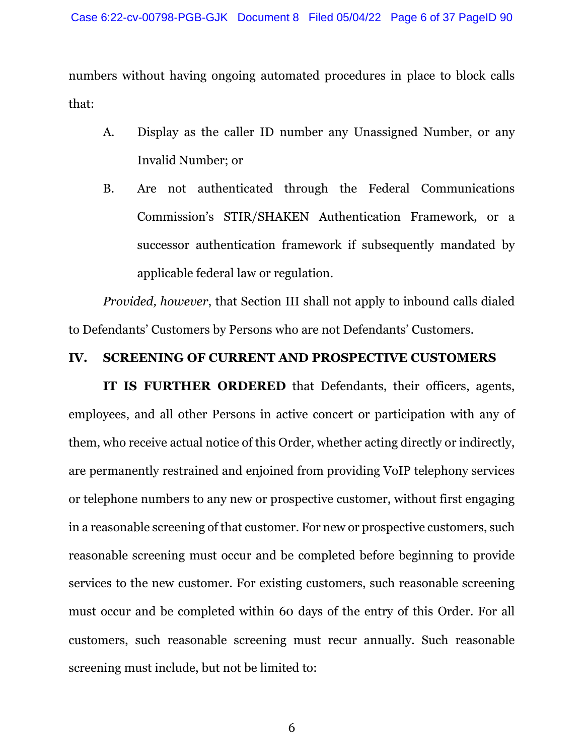numbers without having ongoing automated procedures in place to block calls that:

- A. Display as the caller ID number any Unassigned Number, or any Invalid Number; or
- B. Are not authenticated through the Federal Communications Commission's STIR/SHAKEN Authentication Framework, or a successor authentication framework if subsequently mandated by applicable federal law or regulation.

*Provided, however*, that Section III shall not apply to inbound calls dialed to Defendants' Customers by Persons who are not Defendants' Customers.

# **IV. SCREENING OF CURRENT AND PROSPECTIVE CUSTOMERS**

**IT IS FURTHER ORDERED** that Defendants, their officers, agents, employees, and all other Persons in active concert or participation with any of them, who receive actual notice of this Order, whether acting directly or indirectly, are permanently restrained and enjoined from providing VoIP telephony services or telephone numbers to any new or prospective customer, without first engaging in a reasonable screening of that customer. For new or prospective customers, such reasonable screening must occur and be completed before beginning to provide services to the new customer. For existing customers, such reasonable screening must occur and be completed within 60 days of the entry of this Order. For all customers, such reasonable screening must recur annually. Such reasonable screening must include, but not be limited to: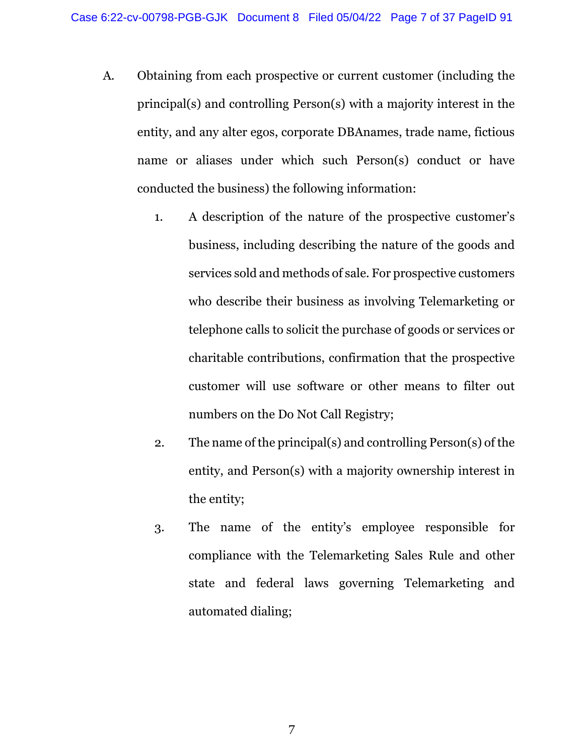- A. Obtaining from each prospective or current customer (including the principal(s) and controlling Person(s) with a majority interest in the entity, and any alter egos, corporate DBAnames, trade name, fictious name or aliases under which such Person(s) conduct or have conducted the business) the following information:
	- 1. A description of the nature of the prospective customer's business, including describing the nature of the goods and services sold and methods of sale. For prospective customers who describe their business as involving Telemarketing or telephone calls to solicit the purchase of goods or services or charitable contributions, confirmation that the prospective customer will use software or other means to filter out numbers on the Do Not Call Registry;
	- 2. The name of the principal(s) and controlling Person(s) of the entity, and Person(s) with a majority ownership interest in the entity;
	- 3. The name of the entity's employee responsible for compliance with the Telemarketing Sales Rule and other state and federal laws governing Telemarketing and automated dialing;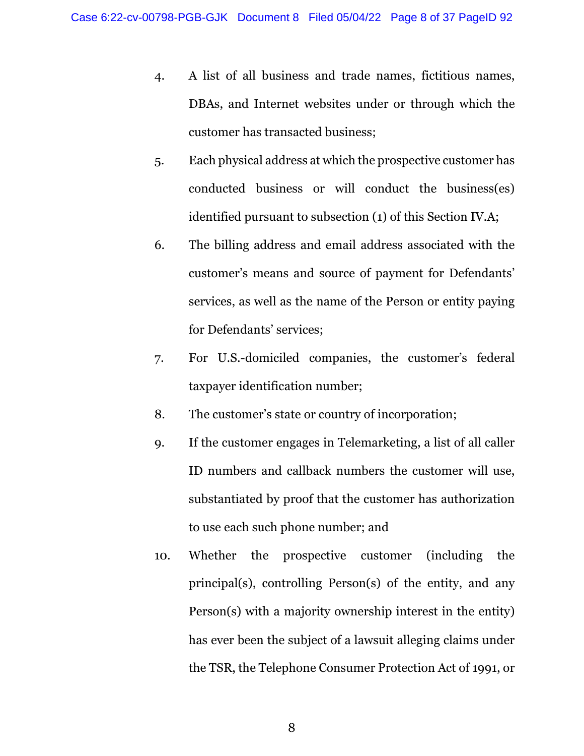- 4. A list of all business and trade names, fictitious names, DBAs, and Internet websites under or through which the customer has transacted business;
- 5. Each physical address at which the prospective customer has conducted business or will conduct the business(es) identified pursuant to subsection (1) of this Section IV.A;
- 6. The billing address and email address associated with the customer's means and source of payment for Defendants' services, as well as the name of the Person or entity paying for Defendants' services;
- 7. For U.S.-domiciled companies, the customer's federal taxpayer identification number;
- 8. The customer's state or country of incorporation;
- 9. If the customer engages in Telemarketing, a list of all caller ID numbers and callback numbers the customer will use, substantiated by proof that the customer has authorization to use each such phone number; and
- 10. Whether the prospective customer (including the principal(s), controlling Person(s) of the entity, and any Person(s) with a majority ownership interest in the entity) has ever been the subject of a lawsuit alleging claims under the TSR, the Telephone Consumer Protection Act of 1991, or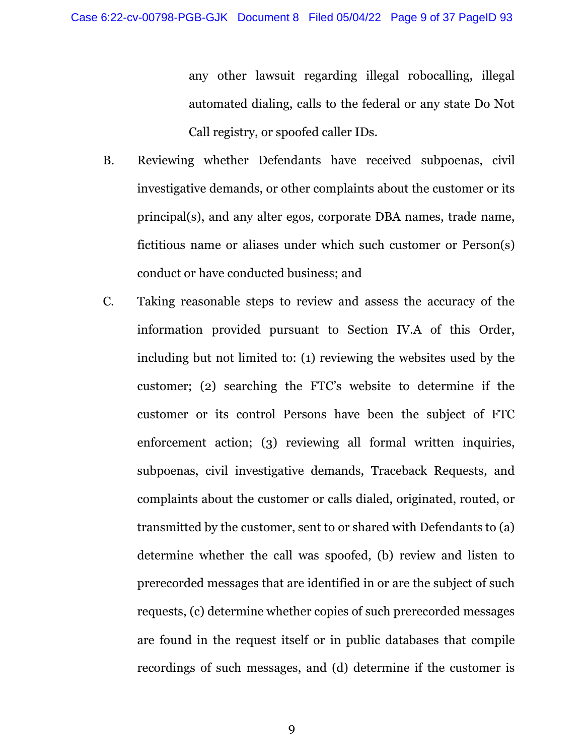any other lawsuit regarding illegal robocalling, illegal automated dialing, calls to the federal or any state Do Not Call registry, or spoofed caller IDs.

- B. Reviewing whether Defendants have received subpoenas, civil investigative demands, or other complaints about the customer or its principal(s), and any alter egos, corporate DBA names, trade name, fictitious name or aliases under which such customer or Person(s) conduct or have conducted business; and
- C. Taking reasonable steps to review and assess the accuracy of the information provided pursuant to Section IV.A of this Order, including but not limited to: (1) reviewing the websites used by the customer; (2) searching the FTC's website to determine if the customer or its control Persons have been the subject of FTC enforcement action; (3) reviewing all formal written inquiries, subpoenas, civil investigative demands, Traceback Requests, and complaints about the customer or calls dialed, originated, routed, or transmitted by the customer, sent to or shared with Defendants to (a) determine whether the call was spoofed, (b) review and listen to prerecorded messages that are identified in or are the subject of such requests, (c) determine whether copies of such prerecorded messages are found in the request itself or in public databases that compile recordings of such messages, and (d) determine if the customer is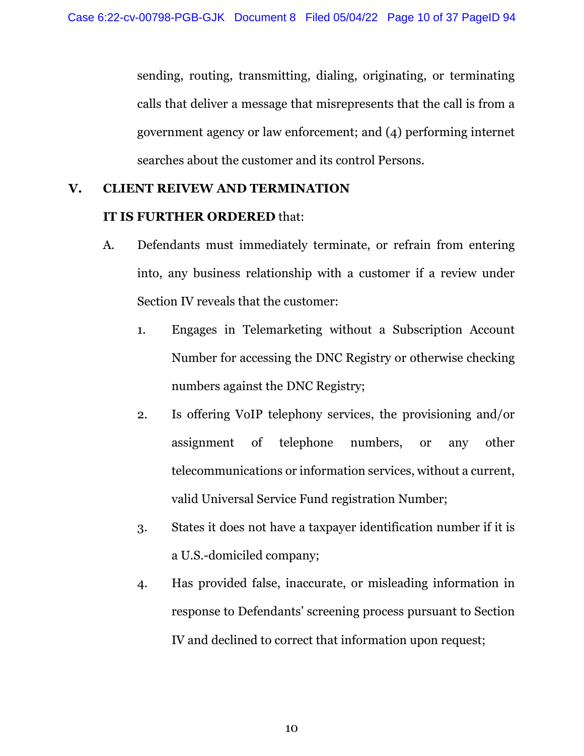sending, routing, transmitting, dialing, originating, or terminating calls that deliver a message that misrepresents that the call is from a government agency or law enforcement; and (4) performing internet searches about the customer and its control Persons.

# **V. CLIENT REIVEW AND TERMINATION**

# **IT IS FURTHER ORDERED** that:

- A. Defendants must immediately terminate, or refrain from entering into, any business relationship with a customer if a review under Section IV reveals that the customer:
	- 1. Engages in Telemarketing without a Subscription Account Number for accessing the DNC Registry or otherwise checking numbers against the DNC Registry;
	- 2. Is offering VoIP telephony services, the provisioning and/or assignment of telephone numbers, or any other telecommunications or information services, without a current, valid Universal Service Fund registration Number;
	- 3. States it does not have a taxpayer identification number if it is a U.S.-domiciled company;
	- 4. Has provided false, inaccurate, or misleading information in response to Defendants' screening process pursuant to Section IV and declined to correct that information upon request;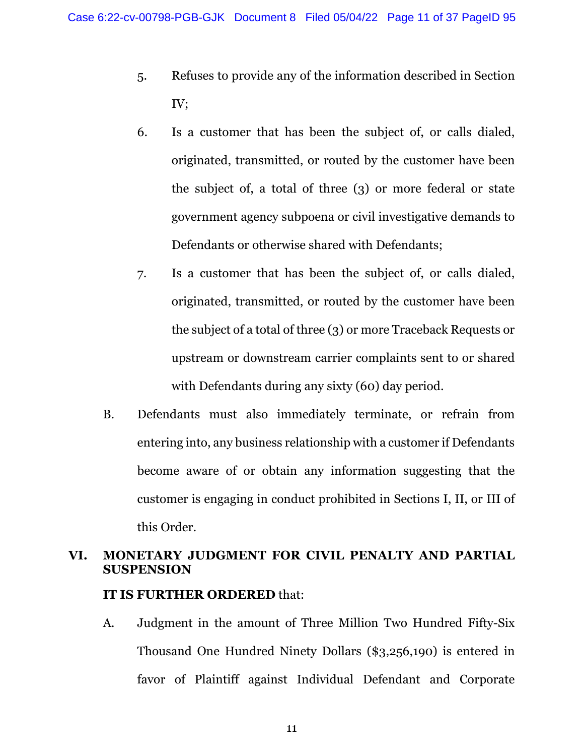- 5. Refuses to provide any of the information described in Section IV;
- 6. Is a customer that has been the subject of, or calls dialed, originated, transmitted, or routed by the customer have been the subject of, a total of three (3) or more federal or state government agency subpoena or civil investigative demands to Defendants or otherwise shared with Defendants;
- 7. Is a customer that has been the subject of, or calls dialed, originated, transmitted, or routed by the customer have been the subject of a total of three (3) or more Traceback Requests or upstream or downstream carrier complaints sent to or shared with Defendants during any sixty (60) day period.
- B. Defendants must also immediately terminate, or refrain from entering into, any business relationship with a customer if Defendants become aware of or obtain any information suggesting that the customer is engaging in conduct prohibited in Sections I, II, or III of this Order.

# **VI. MONETARY JUDGMENT FOR CIVIL PENALTY AND PARTIAL SUSPENSION**

# **IT IS FURTHER ORDERED** that:

A. Judgment in the amount of Three Million Two Hundred Fifty-Six Thousand One Hundred Ninety Dollars (\$3,256,190) is entered in favor of Plaintiff against Individual Defendant and Corporate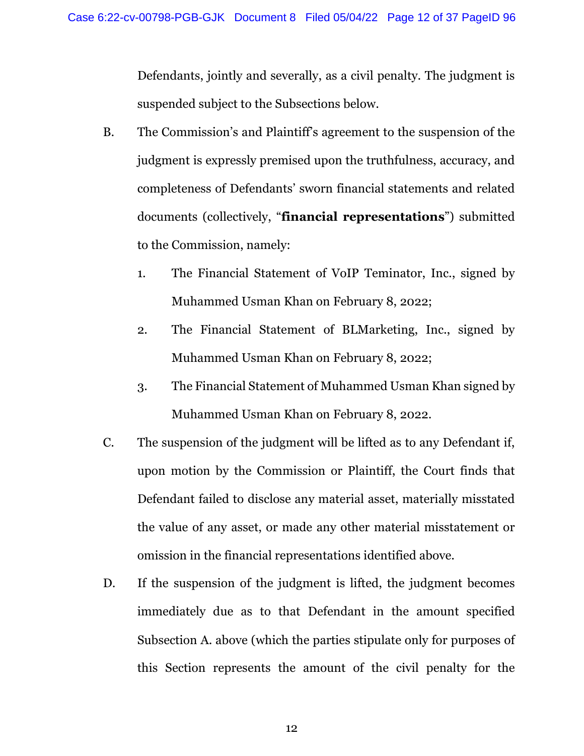Defendants, jointly and severally, as a civil penalty. The judgment is suspended subject to the Subsections below.

- B. The Commission's and Plaintiff's agreement to the suspension of the judgment is expressly premised upon the truthfulness, accuracy, and completeness of Defendants' sworn financial statements and related documents (collectively, "**financial representations**") submitted to the Commission, namely:
	- 1. The Financial Statement of VoIP Teminator, Inc., signed by Muhammed Usman Khan on February 8, 2022;
	- 2. The Financial Statement of BLMarketing, Inc., signed by Muhammed Usman Khan on February 8, 2022;
	- 3. The Financial Statement of Muhammed Usman Khan signed by Muhammed Usman Khan on February 8, 2022.
- C. The suspension of the judgment will be lifted as to any Defendant if, upon motion by the Commission or Plaintiff, the Court finds that Defendant failed to disclose any material asset, materially misstated the value of any asset, or made any other material misstatement or omission in the financial representations identified above.
- D. If the suspension of the judgment is lifted, the judgment becomes immediately due as to that Defendant in the amount specified Subsection A. above (which the parties stipulate only for purposes of this Section represents the amount of the civil penalty for the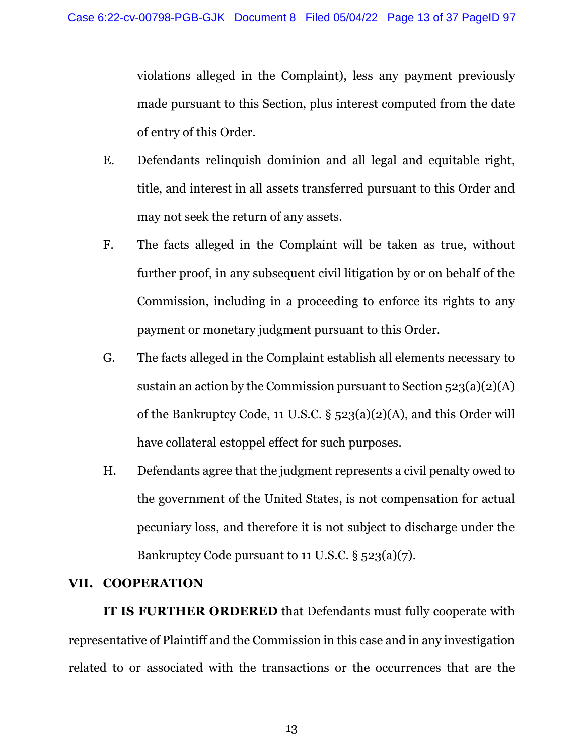violations alleged in the Complaint), less any payment previously made pursuant to this Section, plus interest computed from the date of entry of this Order.

- E. Defendants relinquish dominion and all legal and equitable right, title, and interest in all assets transferred pursuant to this Order and may not seek the return of any assets.
- F. The facts alleged in the Complaint will be taken as true, without further proof, in any subsequent civil litigation by or on behalf of the Commission, including in a proceeding to enforce its rights to any payment or monetary judgment pursuant to this Order.
- G. The facts alleged in the Complaint establish all elements necessary to sustain an action by the Commission pursuant to Section  $523(a)(2)(A)$ of the Bankruptcy Code, 11 U.S.C. § 523(a)(2)(A), and this Order will have collateral estoppel effect for such purposes.
- H. Defendants agree that the judgment represents a civil penalty owed to the government of the United States, is not compensation for actual pecuniary loss, and therefore it is not subject to discharge under the Bankruptcy Code pursuant to 11 U.S.C. § 523(a)(7).

# **VII. COOPERATION**

**IT IS FURTHER ORDERED** that Defendants must fully cooperate with representative of Plaintiff and the Commission in this case and in any investigation related to or associated with the transactions or the occurrences that are the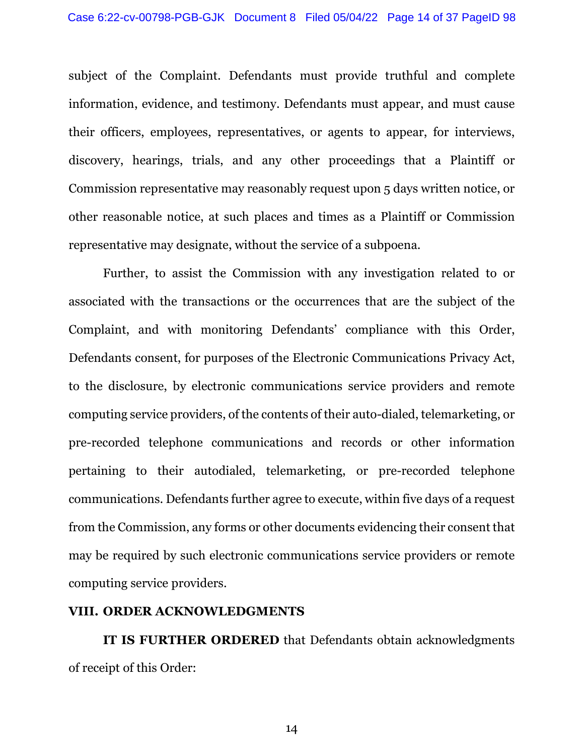subject of the Complaint. Defendants must provide truthful and complete information, evidence, and testimony. Defendants must appear, and must cause their officers, employees, representatives, or agents to appear, for interviews, discovery, hearings, trials, and any other proceedings that a Plaintiff or Commission representative may reasonably request upon 5 days written notice, or other reasonable notice, at such places and times as a Plaintiff or Commission representative may designate, without the service of a subpoena.

Further, to assist the Commission with any investigation related to or associated with the transactions or the occurrences that are the subject of the Complaint, and with monitoring Defendants' compliance with this Order, Defendants consent, for purposes of the Electronic Communications Privacy Act, to the disclosure, by electronic communications service providers and remote computing service providers, of the contents of their auto-dialed, telemarketing, or pre-recorded telephone communications and records or other information pertaining to their autodialed, telemarketing, or pre-recorded telephone communications. Defendants further agree to execute, within five days of a request from the Commission, any forms or other documents evidencing their consent that may be required by such electronic communications service providers or remote computing service providers.

# **VIII. ORDER ACKNOWLEDGMENTS**

**IT IS FURTHER ORDERED** that Defendants obtain acknowledgments of receipt of this Order: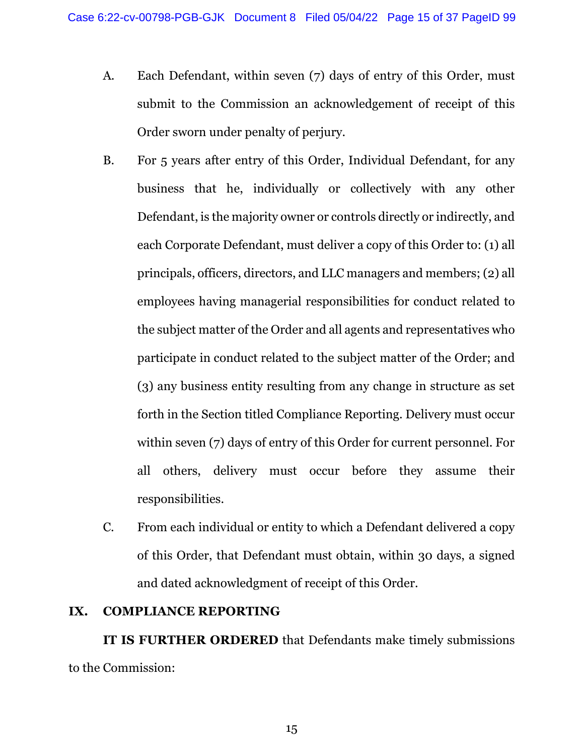- A. Each Defendant, within seven (7) days of entry of this Order, must submit to the Commission an acknowledgement of receipt of this Order sworn under penalty of perjury.
- B. For 5 years after entry of this Order, Individual Defendant, for any business that he, individually or collectively with any other Defendant, is the majority owner or controls directly or indirectly, and each Corporate Defendant, must deliver a copy of this Order to: (1) all principals, officers, directors, and LLC managers and members; (2) all employees having managerial responsibilities for conduct related to the subject matter of the Order and all agents and representatives who participate in conduct related to the subject matter of the Order; and (3) any business entity resulting from any change in structure as set forth in the Section titled Compliance Reporting. Delivery must occur within seven (7) days of entry of this Order for current personnel. For all others, delivery must occur before they assume their responsibilities.
- C. From each individual or entity to which a Defendant delivered a copy of this Order, that Defendant must obtain, within 30 days, a signed and dated acknowledgment of receipt of this Order.

# **IX. COMPLIANCE REPORTING**

**IT IS FURTHER ORDERED** that Defendants make timely submissions to the Commission: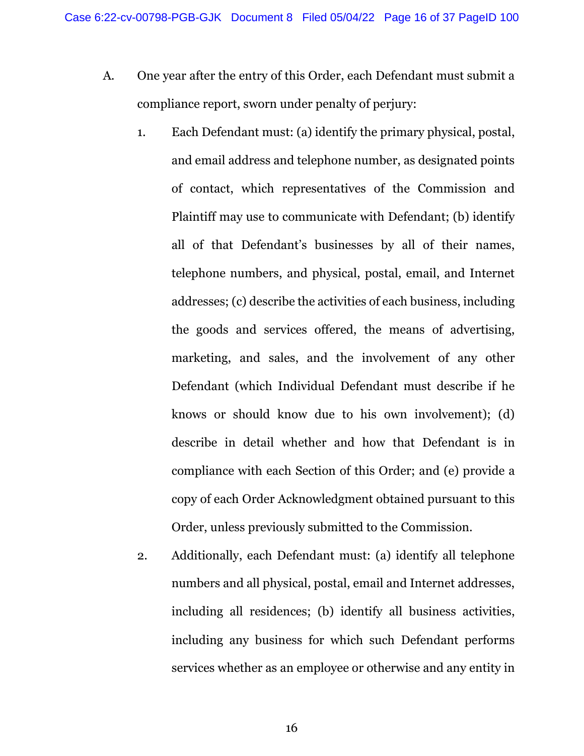- A. One year after the entry of this Order, each Defendant must submit a compliance report, sworn under penalty of perjury:
	- 1. Each Defendant must: (a) identify the primary physical, postal, and email address and telephone number, as designated points of contact, which representatives of the Commission and Plaintiff may use to communicate with Defendant; (b) identify all of that Defendant's businesses by all of their names, telephone numbers, and physical, postal, email, and Internet addresses; (c) describe the activities of each business, including the goods and services offered, the means of advertising, marketing, and sales, and the involvement of any other Defendant (which Individual Defendant must describe if he knows or should know due to his own involvement); (d) describe in detail whether and how that Defendant is in compliance with each Section of this Order; and (e) provide a copy of each Order Acknowledgment obtained pursuant to this Order, unless previously submitted to the Commission.
	- 2. Additionally, each Defendant must: (a) identify all telephone numbers and all physical, postal, email and Internet addresses, including all residences; (b) identify all business activities, including any business for which such Defendant performs services whether as an employee or otherwise and any entity in

16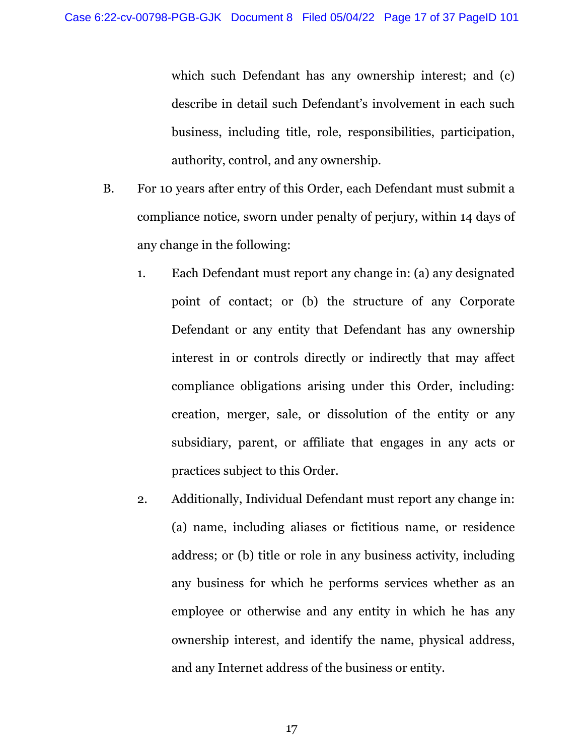which such Defendant has any ownership interest; and (c) describe in detail such Defendant's involvement in each such business, including title, role, responsibilities, participation, authority, control, and any ownership.

- B. For 10 years after entry of this Order, each Defendant must submit a compliance notice, sworn under penalty of perjury, within 14 days of any change in the following:
	- 1. Each Defendant must report any change in: (a) any designated point of contact; or (b) the structure of any Corporate Defendant or any entity that Defendant has any ownership interest in or controls directly or indirectly that may affect compliance obligations arising under this Order, including: creation, merger, sale, or dissolution of the entity or any subsidiary, parent, or affiliate that engages in any acts or practices subject to this Order.
	- 2. Additionally, Individual Defendant must report any change in: (a) name, including aliases or fictitious name, or residence address; or (b) title or role in any business activity, including any business for which he performs services whether as an employee or otherwise and any entity in which he has any ownership interest, and identify the name, physical address, and any Internet address of the business or entity.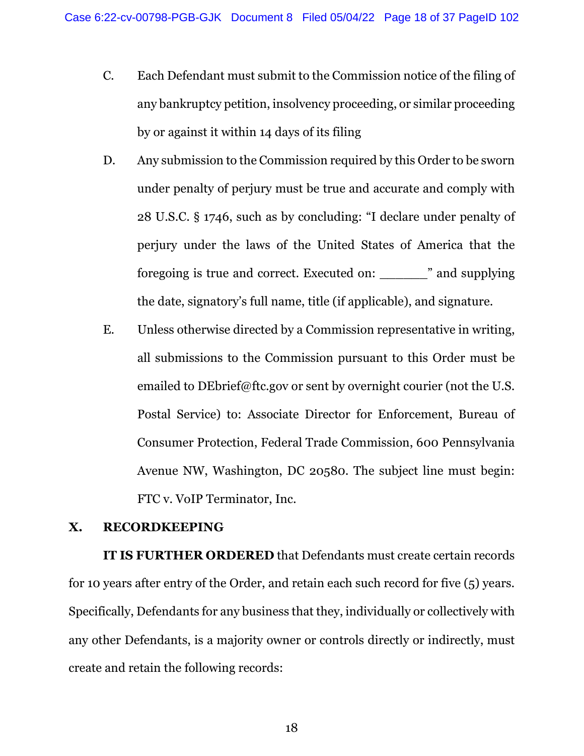- C. Each Defendant must submit to the Commission notice of the filing of any bankruptcy petition, insolvency proceeding, or similar proceeding by or against it within 14 days of its filing
- D. Any submission to the Commission required by this Order to be sworn under penalty of perjury must be true and accurate and comply with 28 U.S.C. § 1746, such as by concluding: "I declare under penalty of perjury under the laws of the United States of America that the foregoing is true and correct. Executed on: \_\_\_\_\_\_" and supplying the date, signatory's full name, title (if applicable), and signature.
- E. Unless otherwise directed by a Commission representative in writing, all submissions to the Commission pursuant to this Order must be emailed to DEbrief@ftc.gov or sent by overnight courier (not the U.S. Postal Service) to: Associate Director for Enforcement, Bureau of Consumer Protection, Federal Trade Commission, 600 Pennsylvania Avenue NW, Washington, DC 20580. The subject line must begin: FTC v. VoIP Terminator, Inc.

# **X. RECORDKEEPING**

**IT IS FURTHER ORDERED** that Defendants must create certain records for 10 years after entry of the Order, and retain each such record for five (5) years. Specifically, Defendants for any business that they, individually or collectively with any other Defendants, is a majority owner or controls directly or indirectly, must create and retain the following records: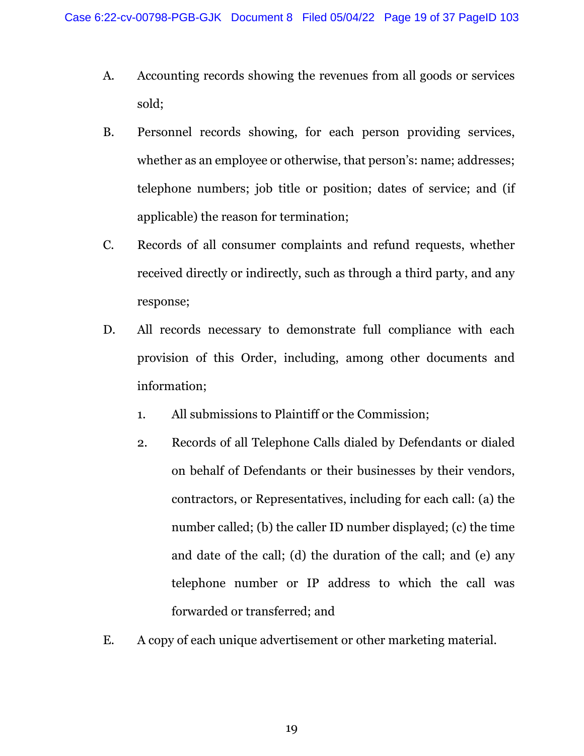- A. Accounting records showing the revenues from all goods or services sold;
- B. Personnel records showing, for each person providing services, whether as an employee or otherwise, that person's: name; addresses; telephone numbers; job title or position; dates of service; and (if applicable) the reason for termination;
- C. Records of all consumer complaints and refund requests, whether received directly or indirectly, such as through a third party, and any response;
- D. All records necessary to demonstrate full compliance with each provision of this Order, including, among other documents and information;
	- 1. All submissions to Plaintiff or the Commission;
	- 2. Records of all Telephone Calls dialed by Defendants or dialed on behalf of Defendants or their businesses by their vendors, contractors, or Representatives, including for each call: (a) the number called; (b) the caller ID number displayed; (c) the time and date of the call; (d) the duration of the call; and (e) any telephone number or IP address to which the call was forwarded or transferred; and
- E. A copy of each unique advertisement or other marketing material.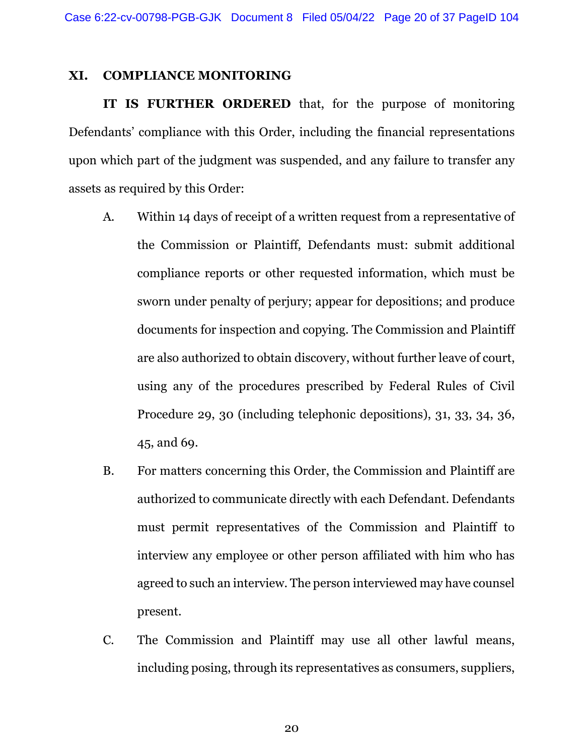# **XI. COMPLIANCE MONITORING**

**IT IS FURTHER ORDERED** that, for the purpose of monitoring Defendants' compliance with this Order, including the financial representations upon which part of the judgment was suspended, and any failure to transfer any assets as required by this Order:

- A. Within 14 days of receipt of a written request from a representative of the Commission or Plaintiff, Defendants must: submit additional compliance reports or other requested information, which must be sworn under penalty of perjury; appear for depositions; and produce documents for inspection and copying. The Commission and Plaintiff are also authorized to obtain discovery, without further leave of court, using any of the procedures prescribed by Federal Rules of Civil Procedure 29, 30 (including telephonic depositions), 31, 33, 34, 36, 45, and 69.
- B. For matters concerning this Order, the Commission and Plaintiff are authorized to communicate directly with each Defendant. Defendants must permit representatives of the Commission and Plaintiff to interview any employee or other person affiliated with him who has agreed to such an interview. The person interviewed may have counsel present.
- C. The Commission and Plaintiff may use all other lawful means, including posing, through its representatives as consumers, suppliers,

20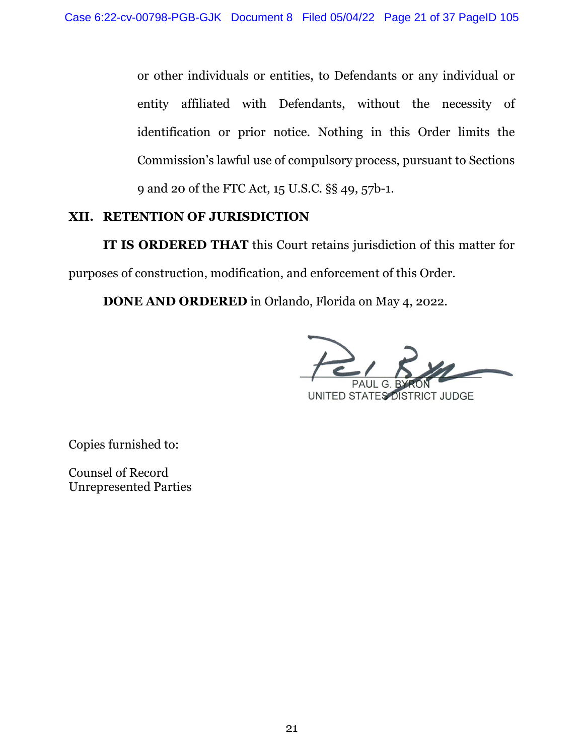or other individuals or entities, to Defendants or any individual or entity affiliated with Defendants, without the necessity of identification or prior notice. Nothing in this Order limits the Commission's lawful use of compulsory process, pursuant to Sections 9 and 20 of the FTC Act, 15 U.S.C. §§ 49, 57b-1.

# **XII. RETENTION OF JURISDICTION**

**IT IS ORDERED THAT** this Court retains jurisdiction of this matter for purposes of construction, modification, and enforcement of this Order.

**DONE AND ORDERED** in Orlando, Florida on May 4, 2022.

UNITED STATES DISTRICT JUDGE

Copies furnished to:

Counsel of Record Unrepresented Parties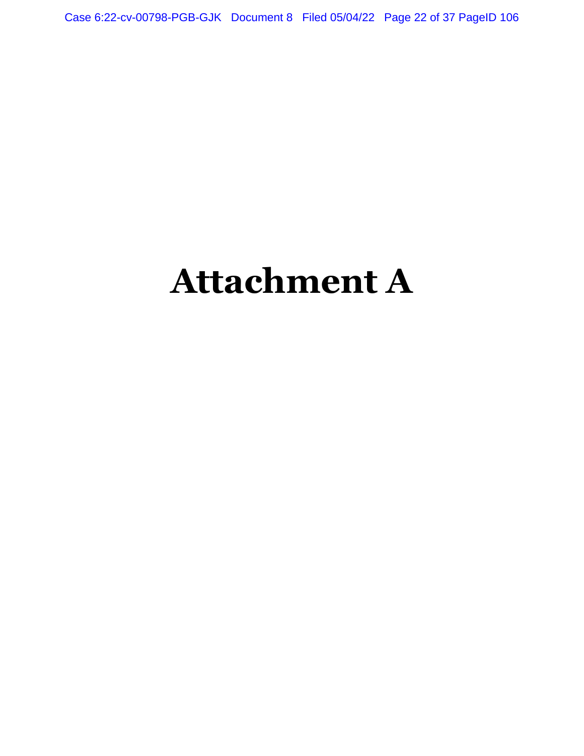Case 6:22-cv-00798-PGB-GJK Document 8 Filed 05/04/22 Page 22 of 37 PageID 106

# **Attachment A**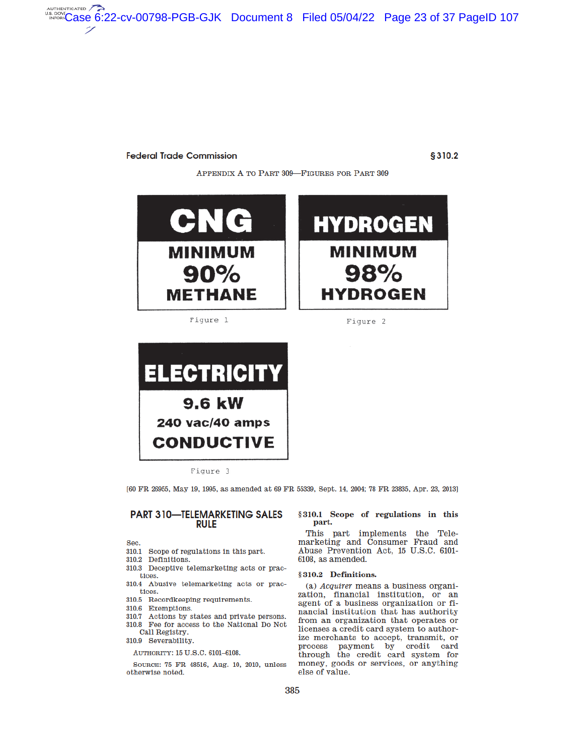

### **Federal Trade Commission**

§310.2

APPENDIX A TO PART 309-FIGURES FOR PART 309





Figure 3

[60 FR 26955, May 19, 1995, as amended at 69 FR 55339, Sept. 14, 2004; 78 FR 23835, Apr. 23, 2013]

#### **PART 310-TELEMARKETING SALES RULE**

Sec.

- 310.1 Scope of regulations in this part.
- 310.2 Definitions.
- 310.3 Deceptive telemarketing acts or practices.
- 310.4 Abusive telemarketing acts or practices.
- 310.5 Recordkeeping requirements.
- 310.6 Exemptions.
- 310.7 Actions by states and private persons.
- 310.8 Fee for access to the National Do Not
- Call Registry.
- 310.9 Severability.

AUTHORITY: 15 U.S.C. 6101-6108.

SOURCE: 75 FR 48516, Aug. 10, 2010, unless otherwise noted.

#### §310.1 Scope of regulations in this part.

This part implements the Telemarketing and Consumer Fraud and Abuse Prevention Act, 15 U.S.C. 6101-6108, as amended.

#### §310.2 Definitions.

(a) Acquirer means a business organization, financial institution, or an agent of a business organization or financial institution that has authority from an organization that operates or licenses a credit card system to authorize merchants to accept, transmit, or process payment by credit card through the credit card system for money, goods or services, or anything else of value.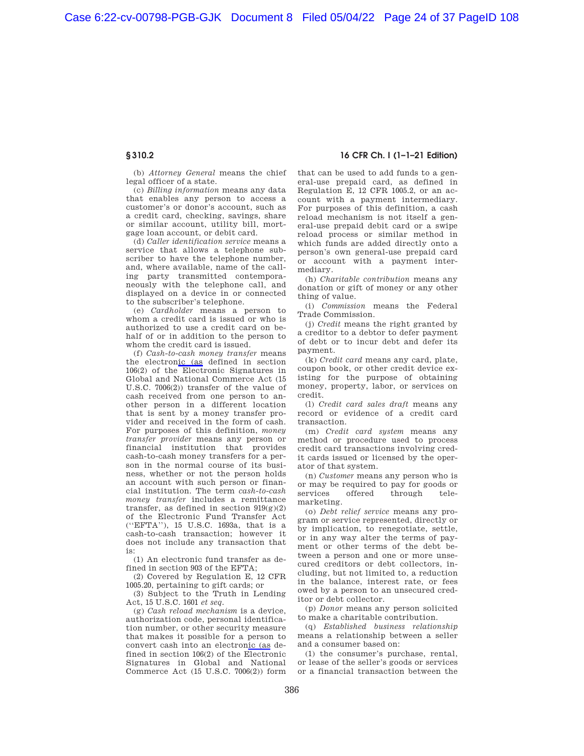(b) *Attorney General* means the chief legal officer of a state.

(c) *Billing information* means any data that enables any person to access a customer's or donor's account, such as a credit card, checking, savings, share or similar account, utility bill, mortgage loan account, or debit card.

(d) *Caller identification service* means a service that allows a telephone subscriber to have the telephone number, and, where available, name of the calling party transmitted contemporaneously with the telephone call, and displayed on a device in or connected to the subscriber's telephone.

(e) *Cardholder* means a person to whom a credit card is issued or who is authorized to use a credit card on behalf of or in addition to the person to whom the credit card is issued.

(f) *Cash-to-cash money transfer* means the electronic (as defined in section 106(2) of the Electronic Signatures in Global and National Commerce Act (15 U.S.C. 7006(2)) transfer of the value of cash received from one person to another person in a different location that is sent by a money transfer provider and received in the form of cash. For purposes of this definition, *money transfer provider* means any person or financial institution that provides cash-to-cash money transfers for a person in the normal course of its business, whether or not the person holds an account with such person or financial institution. The term *cash-to-cash money transfer* includes a remittance transfer, as defined in section  $919(g)(2)$ of the Electronic Fund Transfer Act (''EFTA''), 15 U.S.C. 1693a, that is a cash-to-cash transaction; however it does not include any transaction that is:

(1) An electronic fund transfer as defined in section 903 of the EFTA;

(2) Covered by Regulation E, 12 CFR 1005.20, pertaining to gift cards; or

(3) Subject to the Truth in Lending Act, 15 U.S.C. 1601 *et seq.* 

(g) *Cash reload mechanism* is a device, authorization code, personal identification number, or other security measure that makes it possible for a person to convert cash into an electronic (as defined in section 106(2) of the Electronic Signatures in Global and National Commerce Act (15 U.S.C. 7006(2)) form

**§ 310.2 16 CFR Ch. I (1–1–21 Edition)** 

that can be used to add funds to a general-use prepaid card, as defined in Regulation E, 12 CFR 1005.2, or an account with a payment intermediary. For purposes of this definition, a cash reload mechanism is not itself a general-use prepaid debit card or a swipe reload process or similar method in which funds are added directly onto a person's own general-use prepaid card or account with a payment intermediary.

(h) *Charitable contribution* means any donation or gift of money or any other thing of value.

(i) *Commission* means the Federal Trade Commission.

(j) *Credit* means the right granted by a creditor to a debtor to defer payment of debt or to incur debt and defer its payment.

(k) *Credit card* means any card, plate, coupon book, or other credit device existing for the purpose of obtaining money, property, labor, or services on credit.

(l) *Credit card sales draft* means any record or evidence of a credit card transaction.

(m) *Credit card system* means any method or procedure used to process credit card transactions involving credit cards issued or licensed by the operator of that system.

(n) *Customer* means any person who is or may be required to pay for goods or services offered through telemarketing.

(o) *Debt relief service* means any program or service represented, directly or by implication, to renegotiate, settle, or in any way alter the terms of payment or other terms of the debt between a person and one or more unsecured creditors or debt collectors, including, but not limited to, a reduction in the balance, interest rate, or fees owed by a person to an unsecured creditor or debt collector.

(p) *Donor* means any person solicited to make a charitable contribution.

(q) *Established business relationship*  means a relationship between a seller and a consumer based on:

(1) the consumer's purchase, rental, or lease of the seller's goods or services or a financial transaction between the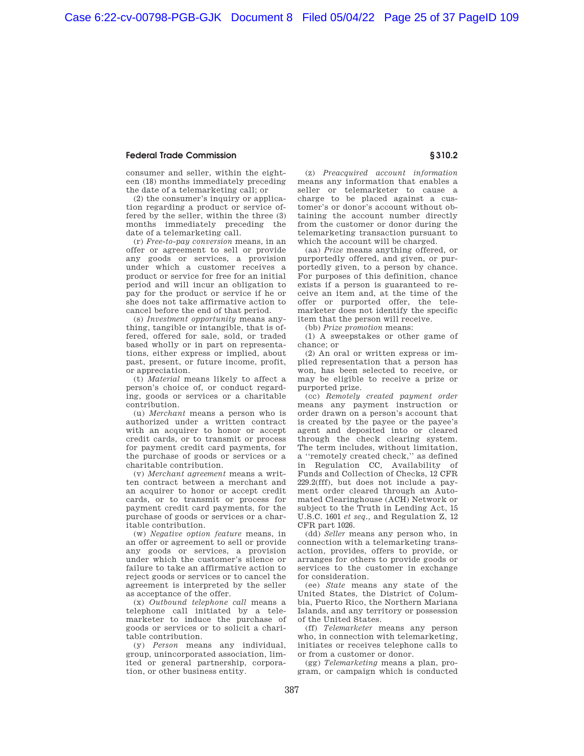#### **Federal Trade Commission § 310.2**

consumer and seller, within the eighteen (18) months immediately preceding the date of a telemarketing call; or

(2) the consumer's inquiry or application regarding a product or service offered by the seller, within the three (3) months immediately preceding the date of a telemarketing call.

(r) *Free-to-pay conversion* means, in an offer or agreement to sell or provide any goods or services, a provision under which a customer receives a product or service for free for an initial period and will incur an obligation to pay for the product or service if he or she does not take affirmative action to cancel before the end of that period.

(s) *Investment opportunity* means anything, tangible or intangible, that is offered, offered for sale, sold, or traded based wholly or in part on representations, either express or implied, about past, present, or future income, profit, or appreciation.

(t) *Material* means likely to affect a person's choice of, or conduct regarding, goods or services or a charitable contribution.

(u) *Merchant* means a person who is authorized under a written contract with an acquirer to honor or accept credit cards, or to transmit or process for payment credit card payments, for the purchase of goods or services or a charitable contribution.

(v) *Merchant agreement* means a written contract between a merchant and an acquirer to honor or accept credit cards, or to transmit or process for payment credit card payments, for the purchase of goods or services or a charitable contribution.

(w) *Negative option feature* means, in an offer or agreement to sell or provide any goods or services, a provision under which the customer's silence or failure to take an affirmative action to reject goods or services or to cancel the agreement is interpreted by the seller as acceptance of the offer.

(x) *Outbound telephone call* means a telephone call initiated by a telemarketer to induce the purchase of goods or services or to solicit a charitable contribution.

(y) *Person* means any individual, group, unincorporated association, limited or general partnership, corporation, or other business entity.

(z) *Preacquired account information*  means any information that enables a seller or telemarketer to cause a charge to be placed against a customer's or donor's account without obtaining the account number directly from the customer or donor during the telemarketing transaction pursuant to which the account will be charged.

(aa) *Prize* means anything offered, or purportedly offered, and given, or purportedly given, to a person by chance. For purposes of this definition, chance exists if a person is guaranteed to receive an item and, at the time of the offer or purported offer, the telemarketer does not identify the specific item that the person will receive.

(bb) *Prize promotion* means:

(1) A sweepstakes or other game of chance; or

(2) An oral or written express or implied representation that a person has won, has been selected to receive, or may be eligible to receive a prize or purported prize.

(cc) *Remotely created payment order*  means any payment instruction or order drawn on a person's account that is created by the payee or the payee's agent and deposited into or cleared through the check clearing system. The term includes, without limitation, a ''remotely created check,'' as defined in Regulation CC, Availability of Funds and Collection of Checks, 12 CFR 229.2(fff), but does not include a payment order cleared through an Automated Clearinghouse (ACH) Network or subject to the Truth in Lending Act, 15 U.S.C. 1601 *et seq.,* and Regulation Z, 12 CFR part 1026.

(dd) *Seller* means any person who, in connection with a telemarketing transaction, provides, offers to provide, or arranges for others to provide goods or services to the customer in exchange for consideration.

(ee) *State* means any state of the United States, the District of Columbia, Puerto Rico, the Northern Mariana Islands, and any territory or possession of the United States.

(ff) *Telemarketer* means any person who, in connection with telemarketing, initiates or receives telephone calls to or from a customer or donor.

(gg) *Telemarketing* means a plan, program, or campaign which is conducted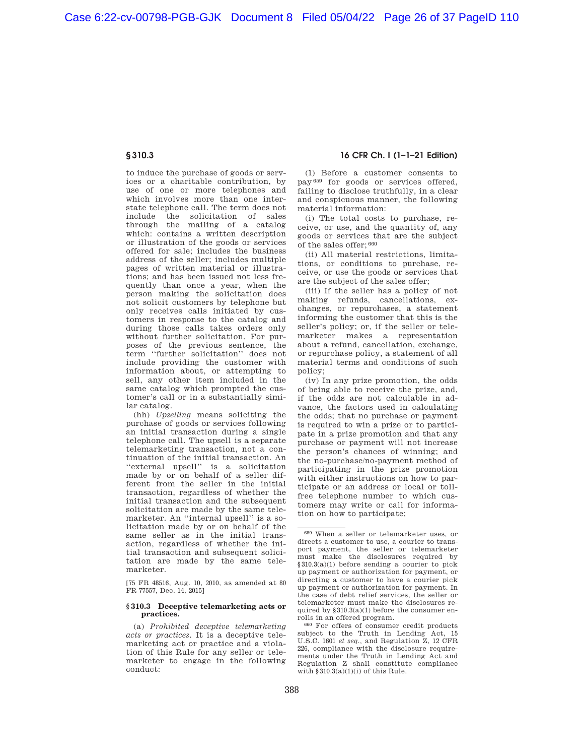to induce the purchase of goods or services or a charitable contribution, by use of one or more telephones and which involves more than one interstate telephone call. The term does not include the solicitation of sales through the mailing of a catalog which: contains a written description or illustration of the goods or services offered for sale; includes the business address of the seller; includes multiple pages of written material or illustrations; and has been issued not less frequently than once a year, when the person making the solicitation does not solicit customers by telephone but only receives calls initiated by customers in response to the catalog and during those calls takes orders only without further solicitation. For purposes of the previous sentence, the term ''further solicitation'' does not include providing the customer with information about, or attempting to sell, any other item included in the same catalog which prompted the customer's call or in a substantially similar catalog.

(hh) *Upselling* means soliciting the purchase of goods or services following an initial transaction during a single telephone call. The upsell is a separate telemarketing transaction, not a continuation of the initial transaction. An ''external upsell'' is a solicitation made by or on behalf of a seller different from the seller in the initial transaction, regardless of whether the initial transaction and the subsequent solicitation are made by the same telemarketer. An ''internal upsell'' is a solicitation made by or on behalf of the same seller as in the initial transaction, regardless of whether the initial transaction and subsequent solicitation are made by the same telemarketer.

[75 FR 48516, Aug. 10, 2010, as amended at 80 FR 77557, Dec. 14, 2015]

#### **§ 310.3 Deceptive telemarketing acts or practices.**

## **§ 310.3 16 CFR Ch. I (1–1–21 Edition)**

(1) Before a customer consents to pay659 for goods or services offered, failing to disclose truthfully, in a clear and conspicuous manner, the following material information:

(i) The total costs to purchase, receive, or use, and the quantity of, any goods or services that are the subject of the sales offer; 660

(ii) All material restrictions, limitations, or conditions to purchase, receive, or use the goods or services that are the subject of the sales offer;

(iii) If the seller has a policy of not making refunds, cancellations, exchanges, or repurchases, a statement informing the customer that this is the seller's policy; or, if the seller or telemarketer makes a representation about a refund, cancellation, exchange, or repurchase policy, a statement of all material terms and conditions of such policy;

(iv) In any prize promotion, the odds of being able to receive the prize, and, if the odds are not calculable in advance, the factors used in calculating the odds; that no purchase or payment is required to win a prize or to participate in a prize promotion and that any purchase or payment will not increase the person's chances of winning; and the no-purchase/no-payment method of participating in the prize promotion with either instructions on how to participate or an address or local or tollfree telephone number to which customers may write or call for information on how to participate;

<sup>(</sup>a) *Prohibited deceptive telemarketing acts or practices.* It is a deceptive telemarketing act or practice and a violation of this Rule for any seller or telemarketer to engage in the following conduct:

<sup>659</sup> When a seller or telemarketer uses, or directs a customer to use, a courier to transport payment, the seller or telemarketer must make the disclosures required by §310.3(a)(1) before sending a courier to pick up payment or authorization for payment, or directing a customer to have a courier pick up payment or authorization for payment. In the case of debt relief services, the seller or telemarketer must make the disclosures required by  $\S 310.3(a)(1)$  before the consumer enrolls in an offered program.

 $660$  For offers of consumer credit products subject to the Truth in Lending Act, 15 U.S.C. 1601 *et seq.,* and Regulation Z, 12 CFR 226, compliance with the disclosure requirements under the Truth in Lending Act and Regulation Z shall constitute compliance with  $$310.3(a)(1)(i)$  of this Rule.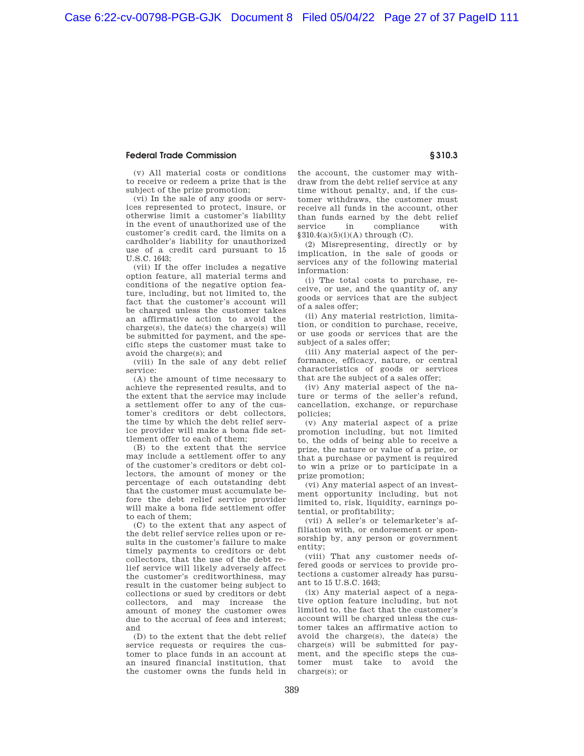#### **Federal Trade Commission § 310.3**

(v) All material costs or conditions to receive or redeem a prize that is the subject of the prize promotion;

(vi) In the sale of any goods or services represented to protect, insure, or otherwise limit a customer's liability in the event of unauthorized use of the customer's credit card, the limits on a cardholder's liability for unauthorized use of a credit card pursuant to 15 U.S.C. 1643;

(vii) If the offer includes a negative option feature, all material terms and conditions of the negative option feature, including, but not limited to, the fact that the customer's account will be charged unless the customer takes an affirmative action to avoid the charge(s), the date(s) the charge(s) will be submitted for payment, and the specific steps the customer must take to avoid the charge(s); and

(viii) In the sale of any debt relief service:

(A) the amount of time necessary to achieve the represented results, and to the extent that the service may include a settlement offer to any of the customer's creditors or debt collectors, the time by which the debt relief service provider will make a bona fide settlement offer to each of them;

(B) to the extent that the service may include a settlement offer to any of the customer's creditors or debt collectors, the amount of money or the percentage of each outstanding debt that the customer must accumulate before the debt relief service provider will make a bona fide settlement offer to each of them;

(C) to the extent that any aspect of the debt relief service relies upon or results in the customer's failure to make timely payments to creditors or debt collectors, that the use of the debt relief service will likely adversely affect the customer's creditworthiness, may result in the customer being subject to collections or sued by creditors or debt collectors, and may increase the amount of money the customer owes due to the accrual of fees and interest; and

(D) to the extent that the debt relief service requests or requires the customer to place funds in an account at an insured financial institution, that the customer owns the funds held in

the account, the customer may withdraw from the debt relief service at any time without penalty, and, if the customer withdraws, the customer must receive all funds in the account, other than funds earned by the debt relief service in compliance with  $§310.4(a)(5)(i)(A)$  through (C).

(2) Misrepresenting, directly or by implication, in the sale of goods or services any of the following material information:

(i) The total costs to purchase, receive, or use, and the quantity of, any goods or services that are the subject of a sales offer;

(ii) Any material restriction, limitation, or condition to purchase, receive, or use goods or services that are the subject of a sales offer;

(iii) Any material aspect of the performance, efficacy, nature, or central characteristics of goods or services that are the subject of a sales offer;

(iv) Any material aspect of the nature or terms of the seller's refund, cancellation, exchange, or repurchase policies;

(v) Any material aspect of a prize promotion including, but not limited to, the odds of being able to receive a prize, the nature or value of a prize, or that a purchase or payment is required to win a prize or to participate in a prize promotion;

(vi) Any material aspect of an investment opportunity including, but not limited to, risk, liquidity, earnings potential, or profitability;

(vii) A seller's or telemarketer's affiliation with, or endorsement or sponsorship by, any person or government entity;

(viii) That any customer needs offered goods or services to provide protections a customer already has pursuant to 15 U.S.C. 1643;

(ix) Any material aspect of a negative option feature including, but not limited to, the fact that the customer's account will be charged unless the customer takes an affirmative action to avoid the charge(s), the date(s) the charge(s) will be submitted for payment, and the specific steps the customer must take to avoid the charge(s); or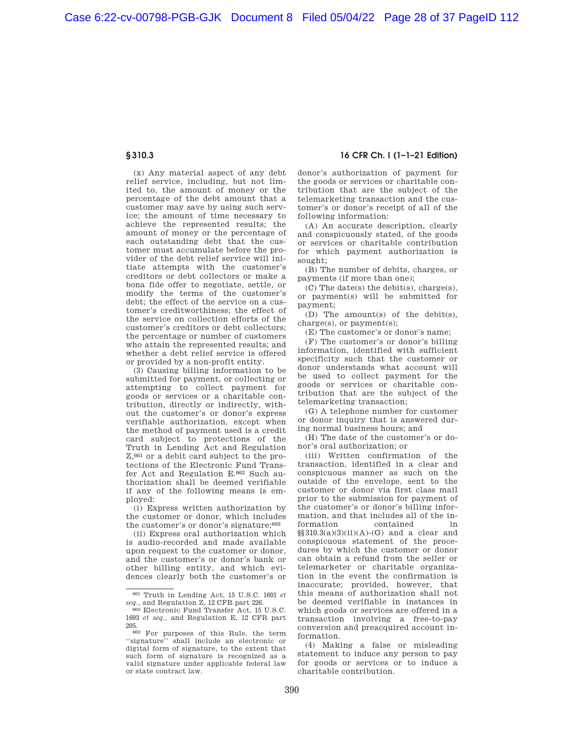(x) Any material aspect of any debt relief service, including, but not limited to, the amount of money or the percentage of the debt amount that a customer may save by using such service; the amount of time necessary to achieve the represented results; the amount of money or the percentage of each outstanding debt that the customer must accumulate before the provider of the debt relief service will initiate attempts with the customer's creditors or debt collectors or make a bona fide offer to negotiate, settle, or modify the terms of the customer's debt; the effect of the service on a customer's creditworthiness; the effect of the service on collection efforts of the customer's creditors or debt collectors; the percentage or number of customers who attain the represented results; and whether a debt relief service is offered or provided by a non-profit entity.

(3) Causing billing information to be submitted for payment, or collecting or attempting to collect payment for goods or services or a charitable contribution, directly or indirectly, without the customer's or donor's express verifiable authorization, except when the method of payment used is a credit card subject to protections of the Truth in Lending Act and Regulation Z,661 or a debit card subject to the protections of the Electronic Fund Transfer Act and Regulation E.662 Such authorization shall be deemed verifiable if any of the following means is employed:

(i) Express written authorization by the customer or donor, which includes the customer's or donor's signature;<sup>663</sup>

(ii) Express oral authorization which is audio-recorded and made available upon request to the customer or donor, and the customer's or donor's bank or other billing entity, and which evidences clearly both the customer's or

## **§ 310.3 16 CFR Ch. I (1–1–21 Edition)**

donor's authorization of payment for the goods or services or charitable contribution that are the subject of the telemarketing transaction and the customer's or donor's receipt of all of the following information:

(A) An accurate description, clearly and conspicuously stated, of the goods or services or charitable contribution for which payment authorization is sought;

(B) The number of debits, charges, or payments (if more than one);

(C) The date(s) the debit(s), charge(s), or payment(s) will be submitted for payment;

(D) The amount(s) of the debit(s), charge(s), or payment(s);

(E) The customer's or donor's name;

(F) The customer's or donor's billing information, identified with sufficient specificity such that the customer or donor understands what account will be used to collect payment for the goods or services or charitable contribution that are the subject of the telemarketing transaction;

(G) A telephone number for customer or donor inquiry that is answered during normal business hours; and

(H) The date of the customer's or donor's oral authorization; or

(iii) Written confirmation of the transaction, identified in a clear and conspicuous manner as such on the outside of the envelope, sent to the customer or donor via first class mail prior to the submission for payment of the customer's or donor's billing information, and that includes all of the in-<br>formation contained in contained in  $\S$ §310.3(a)(3)(ii)(A)-(G) and a clear and conspicuous statement of the procedures by which the customer or donor can obtain a refund from the seller or telemarketer or charitable organization in the event the confirmation is inaccurate; provided, however, that this means of authorization shall not be deemed verifiable in instances in which goods or services are offered in a transaction involving a free-to-pay conversion and preacquired account information.

(4) Making a false or misleading statement to induce any person to pay for goods or services or to induce a charitable contribution.

 $661$  Truth in Lending Act, 15 U.S.C. 1601 *et seq.*, and Regulation Z, 12 CFR part 226.

*Electronic Fund Transfer Act, 15 U.S.C.* 1693 *et seq.,* and Regulation E, 12 CFR part

 $663$  For purposes of this Rule, the term ''signature'' shall include an electronic or digital form of signature, to the extent that such form of signature is recognized as a valid signature under applicable federal law or state contract law.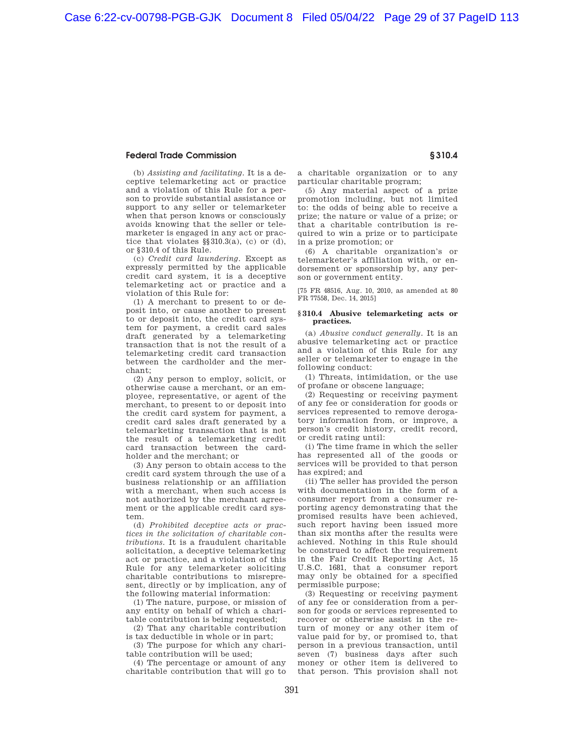#### **Federal Trade Commission § 310.4**

(b) *Assisting and facilitating.* It is a deceptive telemarketing act or practice and a violation of this Rule for a person to provide substantial assistance or support to any seller or telemarketer when that person knows or consciously avoids knowing that the seller or telemarketer is engaged in any act or practice that violates  $\S$ 310.3(a), (c) or (d), or §310.4 of this Rule.

(c) *Credit card laundering.* Except as expressly permitted by the applicable credit card system, it is a deceptive telemarketing act or practice and a violation of this Rule for:

(1) A merchant to present to or deposit into, or cause another to present to or deposit into, the credit card system for payment, a credit card sales draft generated by a telemarketing transaction that is not the result of a telemarketing credit card transaction between the cardholder and the merchant;

(2) Any person to employ, solicit, or otherwise cause a merchant, or an employee, representative, or agent of the merchant, to present to or deposit into the credit card system for payment, a credit card sales draft generated by a telemarketing transaction that is not the result of a telemarketing credit card transaction between the cardholder and the merchant; or

(3) Any person to obtain access to the credit card system through the use of a business relationship or an affiliation with a merchant, when such access is not authorized by the merchant agreement or the applicable credit card system.

(d) *Prohibited deceptive acts or practices in the solicitation of charitable contributions.* It is a fraudulent charitable solicitation, a deceptive telemarketing act or practice, and a violation of this Rule for any telemarketer soliciting charitable contributions to misrepresent, directly or by implication, any of the following material information:

(1) The nature, purpose, or mission of any entity on behalf of which a charitable contribution is being requested;

(2) That any charitable contribution is tax deductible in whole or in part;

(3) The purpose for which any charitable contribution will be used;

(4) The percentage or amount of any charitable contribution that will go to a charitable organization or to any particular charitable program;

(5) Any material aspect of a prize promotion including, but not limited to: the odds of being able to receive a prize; the nature or value of a prize; or that a charitable contribution is required to win a prize or to participate in a prize promotion; or

(6) A charitable organization's or telemarketer's affiliation with, or endorsement or sponsorship by, any person or government entity.

[75 FR 48516, Aug. 10, 2010, as amended at 80 FR 77558, Dec. 14, 2015]

#### **§ 310.4 Abusive telemarketing acts or practices.**

(a) *Abusive conduct generally.* It is an abusive telemarketing act or practice and a violation of this Rule for any seller or telemarketer to engage in the following conduct:

(1) Threats, intimidation, or the use of profane or obscene language;

(2) Requesting or receiving payment of any fee or consideration for goods or services represented to remove derogatory information from, or improve, a person's credit history, credit record, or credit rating until:

(i) The time frame in which the seller has represented all of the goods or services will be provided to that person has expired; and

(ii) The seller has provided the person with documentation in the form of a consumer report from a consumer reporting agency demonstrating that the promised results have been achieved, such report having been issued more than six months after the results were achieved. Nothing in this Rule should be construed to affect the requirement in the Fair Credit Reporting Act, 15 U.S.C. 1681, that a consumer report may only be obtained for a specified permissible purpose;

(3) Requesting or receiving payment of any fee or consideration from a person for goods or services represented to recover or otherwise assist in the return of money or any other item of value paid for by, or promised to, that person in a previous transaction, until seven (7) business days after such money or other item is delivered to that person. This provision shall not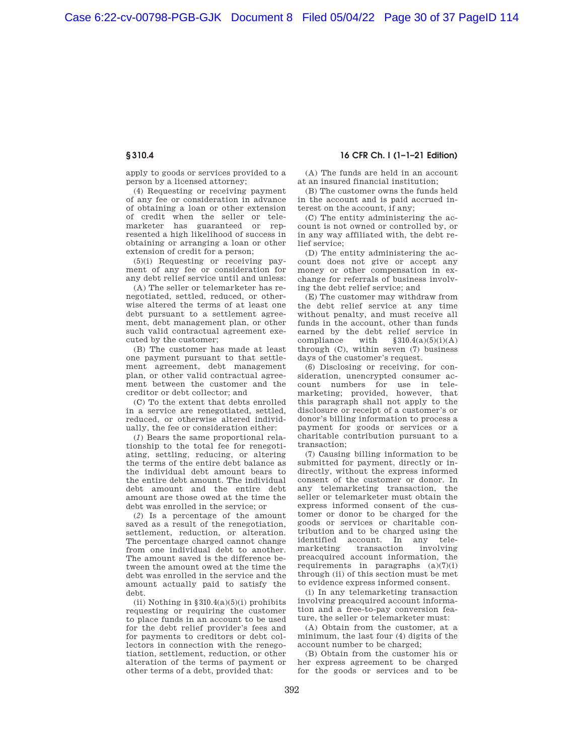apply to goods or services provided to a person by a licensed attorney;

(4) Requesting or receiving payment of any fee or consideration in advance of obtaining a loan or other extension of credit when the seller or telemarketer has guaranteed or represented a high likelihood of success in obtaining or arranging a loan or other extension of credit for a person;

(5)(i) Requesting or receiving payment of any fee or consideration for any debt relief service until and unless:

(A) The seller or telemarketer has renegotiated, settled, reduced, or otherwise altered the terms of at least one debt pursuant to a settlement agreement, debt management plan, or other such valid contractual agreement executed by the customer;

(B) The customer has made at least one payment pursuant to that settlement agreement, debt management plan, or other valid contractual agreement between the customer and the creditor or debt collector; and

(C) To the extent that debts enrolled in a service are renegotiated, settled, reduced, or otherwise altered individually, the fee or consideration either:

(*1*) Bears the same proportional relationship to the total fee for renegotiating, settling, reducing, or altering the terms of the entire debt balance as the individual debt amount bears to the entire debt amount. The individual debt amount and the entire debt amount are those owed at the time the debt was enrolled in the service; or

(*2*) Is a percentage of the amount saved as a result of the renegotiation, settlement, reduction, or alteration. The percentage charged cannot change from one individual debt to another. The amount saved is the difference between the amount owed at the time the debt was enrolled in the service and the amount actually paid to satisfy the debt.

(ii) Nothing in  $$310.4(a)(5)(i)$  prohibits requesting or requiring the customer to place funds in an account to be used for the debt relief provider's fees and for payments to creditors or debt collectors in connection with the renegotiation, settlement, reduction, or other alteration of the terms of payment or other terms of a debt, provided that:

## **§ 310.4 16 CFR Ch. I (1–1–21 Edition)**

(A) The funds are held in an account at an insured financial institution;

(B) The customer owns the funds held in the account and is paid accrued interest on the account, if any;

(C) The entity administering the account is not owned or controlled by, or in any way affiliated with, the debt relief service;

(D) The entity administering the account does not give or accept any money or other compensation in exchange for referrals of business involving the debt relief service; and

(E) The customer may withdraw from the debt relief service at any time without penalty, and must receive all funds in the account, other than funds earned by the debt relief service in compliance with  $§310.4(a)(5)(i)(A)$ through (C), within seven (7) business days of the customer's request.

(6) Disclosing or receiving, for consideration, unencrypted consumer account numbers for use in telemarketing; provided, however, that this paragraph shall not apply to the disclosure or receipt of a customer's or donor's billing information to process a payment for goods or services or a charitable contribution pursuant to a transaction;

(7) Causing billing information to be submitted for payment, directly or indirectly, without the express informed consent of the customer or donor. In any telemarketing transaction, the seller or telemarketer must obtain the express informed consent of the customer or donor to be charged for the goods or services or charitable contribution and to be charged using the<br>identified account. In any teleidentified account. In marketing transaction involving preacquired account information, the requirements in paragraphs  $(a)(7)(i)$ through (ii) of this section must be met to evidence express informed consent.

(i) In any telemarketing transaction involving preacquired account information and a free-to-pay conversion feature, the seller or telemarketer must:

(A) Obtain from the customer, at a minimum, the last four (4) digits of the account number to be charged;

(B) Obtain from the customer his or her express agreement to be charged for the goods or services and to be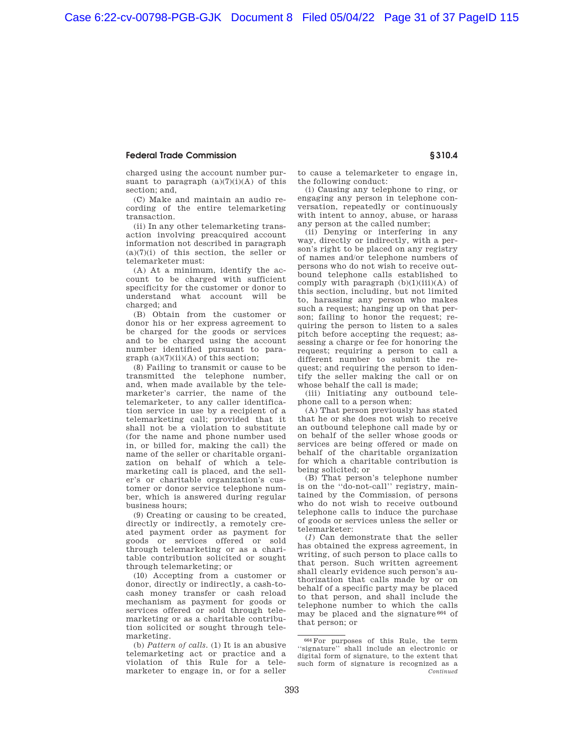### **Federal Trade Commission § 310.4**

charged using the account number pursuant to paragraph  $(a)(7)(i)(A)$  of this section; and,

(C) Make and maintain an audio recording of the entire telemarketing transaction.

(ii) In any other telemarketing transaction involving preacquired account information not described in paragraph  $(a)(7)(i)$  of this section, the seller or telemarketer must:

(A) At a minimum, identify the account to be charged with sufficient specificity for the customer or donor to understand what account will be charged; and

(B) Obtain from the customer or donor his or her express agreement to be charged for the goods or services and to be charged using the account number identified pursuant to para $graph (a)(7)(ii)(A)$  of this section;

(8) Failing to transmit or cause to be transmitted the telephone number, and, when made available by the telemarketer's carrier, the name of the telemarketer, to any caller identification service in use by a recipient of a telemarketing call; provided that it shall not be a violation to substitute (for the name and phone number used in, or billed for, making the call) the name of the seller or charitable organization on behalf of which a telemarketing call is placed, and the seller's or charitable organization's customer or donor service telephone number, which is answered during regular business hours;

(9) Creating or causing to be created, directly or indirectly, a remotely created payment order as payment for goods or services offered or sold through telemarketing or as a charitable contribution solicited or sought through telemarketing; or

(10) Accepting from a customer or donor, directly or indirectly, a cash-tocash money transfer or cash reload mechanism as payment for goods or services offered or sold through telemarketing or as a charitable contribution solicited or sought through telemarketing.

(b) *Pattern of calls.* (1) It is an abusive telemarketing act or practice and a violation of this Rule for a telemarketer to engage in, or for a seller

to cause a telemarketer to engage in, the following conduct:

(i) Causing any telephone to ring, or engaging any person in telephone conversation, repeatedly or continuously with intent to annoy, abuse, or harass any person at the called number;

(ii) Denying or interfering in any way, directly or indirectly, with a person's right to be placed on any registry of names and/or telephone numbers of persons who do not wish to receive outbound telephone calls established to comply with paragraph  $(b)(1)(iii)(A)$  of this section, including, but not limited to, harassing any person who makes such a request; hanging up on that person; failing to honor the request; requiring the person to listen to a sales pitch before accepting the request; assessing a charge or fee for honoring the request; requiring a person to call a different number to submit the request; and requiring the person to identify the seller making the call or on whose behalf the call is made;

(iii) Initiating any outbound telephone call to a person when:

(A) That person previously has stated that he or she does not wish to receive an outbound telephone call made by or on behalf of the seller whose goods or services are being offered or made on behalf of the charitable organization for which a charitable contribution is being solicited; or

(B) That person's telephone number is on the ''do-not-call'' registry, maintained by the Commission, of persons who do not wish to receive outbound telephone calls to induce the purchase of goods or services unless the seller or telemarketer:

(*1*) Can demonstrate that the seller has obtained the express agreement, in writing, of such person to place calls to that person. Such written agreement shall clearly evidence such person's authorization that calls made by or on behalf of a specific party may be placed to that person, and shall include the telephone number to which the calls may be placed and the signature 664 of that person; or

<sup>664</sup>For purposes of this Rule, the term ''signature'' shall include an electronic or digital form of signature, to the extent that such form of signature is recognized as a *Continued*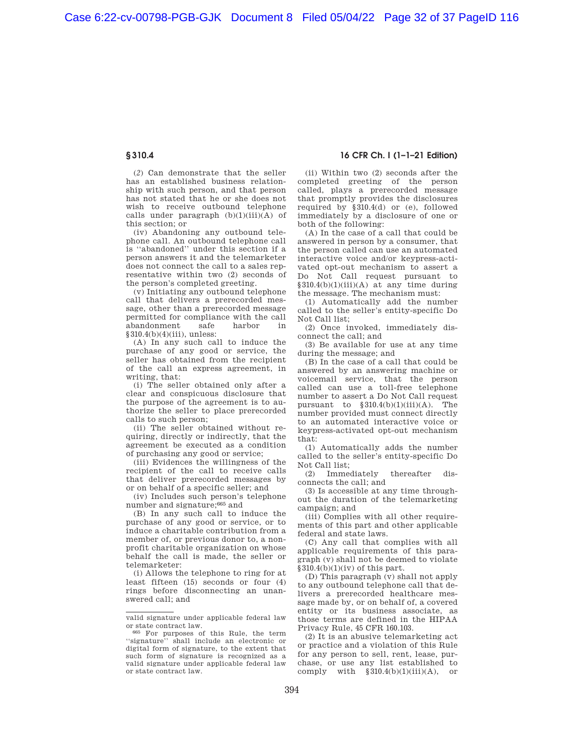(*2*) Can demonstrate that the seller has an established business relationship with such person, and that person has not stated that he or she does not wish to receive outbound telephone calls under paragraph  $(b)(1)(iii)(A)$  of this section; or

(iv) Abandoning any outbound telephone call. An outbound telephone call is ''abandoned'' under this section if a person answers it and the telemarketer does not connect the call to a sales representative within two (2) seconds of the person's completed greeting.

(v) Initiating any outbound telephone call that delivers a prerecorded message, other than a prerecorded message permitted for compliance with the call abandonment safe harbor in §310.4(b)(4)(iii), unless:

(A) In any such call to induce the purchase of any good or service, the seller has obtained from the recipient of the call an express agreement, in writing, that:

(i) The seller obtained only after a clear and conspicuous disclosure that the purpose of the agreement is to authorize the seller to place prerecorded calls to such person;

(ii) The seller obtained without requiring, directly or indirectly, that the agreement be executed as a condition of purchasing any good or service;

(iii) Evidences the willingness of the recipient of the call to receive calls that deliver prerecorded messages by or on behalf of a specific seller; and

(iv) Includes such person's telephone number and signature;665 and

(B) In any such call to induce the purchase of any good or service, or to induce a charitable contribution from a member of, or previous donor to, a nonprofit charitable organization on whose behalf the call is made, the seller or telemarketer:

(i) Allows the telephone to ring for at least fifteen (15) seconds or four (4) rings before disconnecting an unanswered call; and

## **§ 310.4 16 CFR Ch. I (1–1–21 Edition)**

(ii) Within two (2) seconds after the completed greeting of the person called, plays a prerecorded message that promptly provides the disclosures required by §310.4(d) or (e), followed immediately by a disclosure of one or both of the following:

(A) In the case of a call that could be answered in person by a consumer, that the person called can use an automated interactive voice and/or keypress-activated opt-out mechanism to assert a Do Not Call request pursuant to §310.4(b)(1)(iii)(A) at any time during the message. The mechanism must:

(1) Automatically add the number called to the seller's entity-specific Do Not Call list;

(2) Once invoked, immediately disconnect the call; and

(3) Be available for use at any time during the message; and

(B) In the case of a call that could be answered by an answering machine or voicemail service, that the person called can use a toll-free telephone number to assert a Do Not Call request pursuant to  $$310.4(b)(1)(iii)(A)$ . The number provided must connect directly to an automated interactive voice or keypress-activated opt-out mechanism  $t$ hat $\cdot$ 

(1) Automatically adds the number called to the seller's entity-specific Do Not Call list;

 $(2)$  Immediately thereafter connects the call; and

(3) Is accessible at any time throughout the duration of the telemarketing campaign; and

(iii) Complies with all other requirements of this part and other applicable federal and state laws.

(C) Any call that complies with all applicable requirements of this paragraph (v) shall not be deemed to violate  $§310.4(b)(1)(iv)$  of this part.

(D) This paragraph (v) shall not apply to any outbound telephone call that delivers a prerecorded healthcare message made by, or on behalf of, a covered entity or its business associate, as those terms are defined in the HIPAA Privacy Rule, 45 CFR 160.103.

(2) It is an abusive telemarketing act or practice and a violation of this Rule for any person to sell, rent, lease, purchase, or use any list established to comply with  $§310.4(b)(1)(iii)(A)$ , or

valid signature under applicable federal law or state contract law.<br><sup>665</sup> For purposes of this Rule, the term

<sup>&#</sup>x27;'signature'' shall include an electronic or digital form of signature, to the extent that such form of signature is recognized as a valid signature under applicable federal law or state contract law.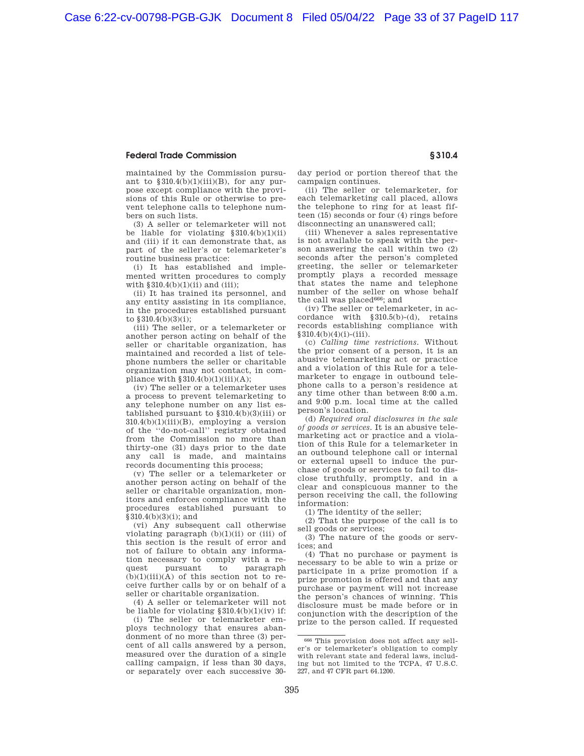#### **Federal Trade Commission § 310.4**

maintained by the Commission pursuant to  $$310.4(b)(1)(iii)(B)$ , for any purpose except compliance with the provisions of this Rule or otherwise to prevent telephone calls to telephone numbers on such lists.

(3) A seller or telemarketer will not be liable for violating  $$310.4(b)(1)(ii)$ and (iii) if it can demonstrate that, as part of the seller's or telemarketer's routine business practice:

(i) It has established and implemented written procedures to comply with  $§310.4(b)(1)(ii)$  and (iii);

(ii) It has trained its personnel, and any entity assisting in its compliance, in the procedures established pursuant to §310.4(b)(3)(i);

(iii) The seller, or a telemarketer or another person acting on behalf of the seller or charitable organization, has maintained and recorded a list of telephone numbers the seller or charitable organization may not contact, in compliance with  $$310.4(b)(1)(iii)(A);$ 

(iv) The seller or a telemarketer uses a process to prevent telemarketing to any telephone number on any list established pursuant to §310.4(b)(3)(iii) or  $310.4(b)(1)(iii)(B)$ , employing a version of the ''do-not-call'' registry obtained from the Commission no more than thirty-one (31) days prior to the date any call is made, and maintains records documenting this process;

(v) The seller or a telemarketer or another person acting on behalf of the seller or charitable organization, monitors and enforces compliance with the procedures established pursuant to §310.4(b)(3)(i); and

(vi) Any subsequent call otherwise violating paragraph  $(b)(1)(ii)$  or (iii) of this section is the result of error and not of failure to obtain any information necessary to comply with a request pursuant to paragraph  $(b)(1)(iii)(A)$  of this section not to receive further calls by or on behalf of a seller or charitable organization.

(4) A seller or telemarketer will not be liable for violating  $$310.4(b)(1)(iv)$  if:

(i) The seller or telemarketer employs technology that ensures abandonment of no more than three (3) percent of all calls answered by a person, measured over the duration of a single calling campaign, if less than 30 days, or separately over each successive 30day period or portion thereof that the campaign continues.

(ii) The seller or telemarketer, for each telemarketing call placed, allows the telephone to ring for at least fifteen (15) seconds or four (4) rings before disconnecting an unanswered call;

(iii) Whenever a sales representative is not available to speak with the person answering the call within two (2) seconds after the person's completed greeting, the seller or telemarketer promptly plays a recorded message that states the name and telephone number of the seller on whose behalf the call was placed<sup>666</sup>; and

(iv) The seller or telemarketer, in accordance with §310.5(b)-(d), retains records establishing compliance with §310.4(b)(4)(i)-(iii).

(c) *Calling time restrictions.* Without the prior consent of a person, it is an abusive telemarketing act or practice and a violation of this Rule for a telemarketer to engage in outbound telephone calls to a person's residence at any time other than between 8:00 a.m. and 9:00 p.m. local time at the called person's location.

(d) *Required oral disclosures in the sale of goods or services.* It is an abusive telemarketing act or practice and a violation of this Rule for a telemarketer in an outbound telephone call or internal or external upsell to induce the purchase of goods or services to fail to disclose truthfully, promptly, and in a clear and conspicuous manner to the person receiving the call, the following information:

(1) The identity of the seller;

(2) That the purpose of the call is to sell goods or services;

(3) The nature of the goods or services; and

(4) That no purchase or payment is necessary to be able to win a prize or participate in a prize promotion if a prize promotion is offered and that any purchase or payment will not increase the person's chances of winning. This disclosure must be made before or in conjunction with the description of the prize to the person called. If requested

<sup>666</sup> This provision does not affect any seller's or telemarketer's obligation to comply with relevant state and federal laws, including but not limited to the TCPA, 47 U.S.C. 227, and 47 CFR part 64.1200.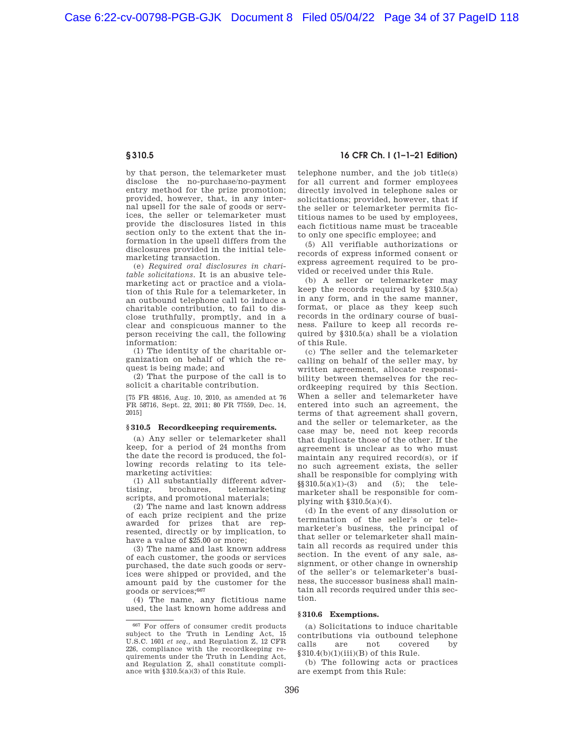by that person, the telemarketer must disclose the no-purchase/no-payment entry method for the prize promotion; provided, however, that, in any internal upsell for the sale of goods or services, the seller or telemarketer must provide the disclosures listed in this section only to the extent that the information in the upsell differs from the disclosures provided in the initial telemarketing transaction.

(e) *Required oral disclosures in charitable solicitations.* It is an abusive telemarketing act or practice and a violation of this Rule for a telemarketer, in an outbound telephone call to induce a charitable contribution, to fail to disclose truthfully, promptly, and in a clear and conspicuous manner to the person receiving the call, the following information:

(1) The identity of the charitable organization on behalf of which the request is being made; and

(2) That the purpose of the call is to solicit a charitable contribution.

[75 FR 48516, Aug. 10, 2010, as amended at 76 FR 58716, Sept. 22, 2011; 80 FR 77559, Dec. 14, 2015]

#### **§ 310.5 Recordkeeping requirements.**

(a) Any seller or telemarketer shall keep, for a period of 24 months from the date the record is produced, the following records relating to its telemarketing activities:

(1) All substantially different advertising, brochures, telemarketing scripts, and promotional materials;

(2) The name and last known address of each prize recipient and the prize awarded for prizes that are represented, directly or by implication, to have a value of \$25.00 or more;

(3) The name and last known address of each customer, the goods or services purchased, the date such goods or services were shipped or provided, and the amount paid by the customer for the goods or services;667

(4) The name, any fictitious name used, the last known home address and

## **§ 310.5 16 CFR Ch. I (1–1–21 Edition)**

telephone number, and the job title(s) for all current and former employees directly involved in telephone sales or solicitations; provided, however, that if the seller or telemarketer permits fictitious names to be used by employees, each fictitious name must be traceable to only one specific employee; and

(5) All verifiable authorizations or records of express informed consent or express agreement required to be provided or received under this Rule.

(b) A seller or telemarketer may keep the records required by §310.5(a) in any form, and in the same manner, format, or place as they keep such records in the ordinary course of business. Failure to keep all records required by §310.5(a) shall be a violation of this Rule.

(c) The seller and the telemarketer calling on behalf of the seller may, by written agreement, allocate responsibility between themselves for the recordkeeping required by this Section. When a seller and telemarketer have entered into such an agreement, the terms of that agreement shall govern, and the seller or telemarketer, as the case may be, need not keep records that duplicate those of the other. If the agreement is unclear as to who must maintain any required record(s), or if no such agreement exists, the seller shall be responsible for complying with §§310.5(a)(1)-(3) and (5); the telemarketer shall be responsible for complying with §310.5(a)(4).

(d) In the event of any dissolution or termination of the seller's or telemarketer's business, the principal of that seller or telemarketer shall maintain all records as required under this section. In the event of any sale, assignment, or other change in ownership of the seller's or telemarketer's business, the successor business shall maintain all records required under this section.

#### **§ 310.6 Exemptions.**

(a) Solicitations to induce charitable contributions via outbound telephone calls are not covered by §310.4(b)(1)(iii)(B) of this Rule.

(b) The following acts or practices are exempt from this Rule:

<sup>667</sup> For offers of consumer credit products subject to the Truth in Lending Act, 15 U.S.C. 1601 *et seq.,* and Regulation Z, 12 CFR 226, compliance with the recordkeeping requirements under the Truth in Lending Act, and Regulation Z, shall constitute compliance with  $\S 310.5(a)(3)$  of this Rule.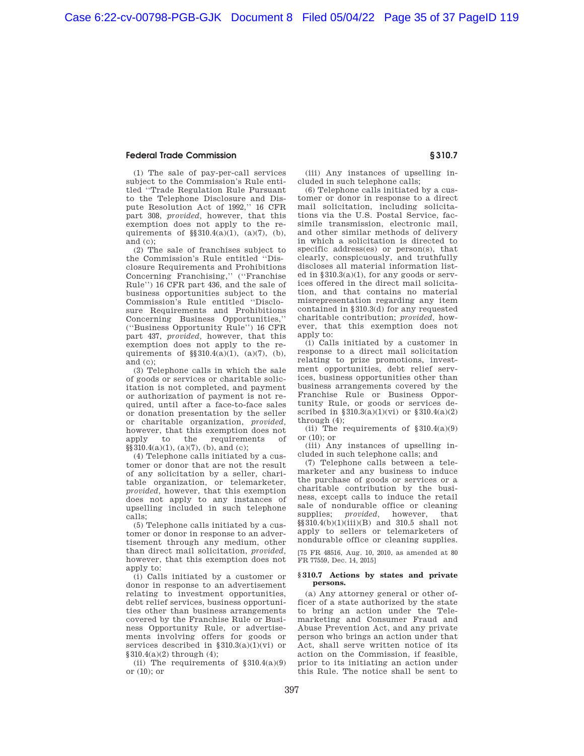#### **Federal Trade Commission § 310.7**

(1) The sale of pay-per-call services subject to the Commission's Rule entitled ''Trade Regulation Rule Pursuant to the Telephone Disclosure and Dispute Resolution Act of 1992,'' 16 CFR part 308, *provided,* however, that this exemption does not apply to the requirements of  $\S 310.4(a)(1)$ ,  $(a)(7)$ ,  $(b)$ , and (c);

(2) The sale of franchises subject to the Commission's Rule entitled ''Disclosure Requirements and Prohibitions Concerning Franchising,'' (''Franchise Rule'') 16 CFR part 436, and the sale of business opportunities subject to the Commission's Rule entitled ''Disclosure Requirements and Prohibitions Concerning Business Opportunities,'' (''Business Opportunity Rule'') 16 CFR part 437, *provided,* however, that this exemption does not apply to the requirements of  $\S$ 310.4(a)(1), (a)(7), (b), and (c);

(3) Telephone calls in which the sale of goods or services or charitable solicitation is not completed, and payment or authorization of payment is not required, until after a face-to-face sales or donation presentation by the seller or charitable organization, *provided,*  however, that this exemption does not<br>apply to the requirements of requirements of  $\S$ §310.4(a)(1), (a)(7), (b), and (c);

(4) Telephone calls initiated by a customer or donor that are not the result of any solicitation by a seller, charitable organization, or telemarketer, *provided,* however, that this exemption does not apply to any instances of upselling included in such telephone calls;

(5) Telephone calls initiated by a customer or donor in response to an advertisement through any medium, other than direct mail solicitation, *provided,*  however, that this exemption does not apply to:

(i) Calls initiated by a customer or donor in response to an advertisement relating to investment opportunities, debt relief services, business opportunities other than business arrangements covered by the Franchise Rule or Business Opportunity Rule, or advertisements involving offers for goods or services described in §310.3(a)(1)(vi) or §310.4(a)(2) through (4);

(ii) The requirements of  $§310.4(a)(9)$ or (10); or

(iii) Any instances of upselling included in such telephone calls;

(6) Telephone calls initiated by a customer or donor in response to a direct mail solicitation, including solicitations via the U.S. Postal Service, facsimile transmission, electronic mail, and other similar methods of delivery in which a solicitation is directed to specific address(es) or person(s), that clearly, conspicuously, and truthfully discloses all material information listed in  $$310.3(a)(1)$ , for any goods or services offered in the direct mail solicitation, and that contains no material misrepresentation regarding any item contained in §310.3(d) for any requested charitable contribution; *provided,* however, that this exemption does not apply to:

(i) Calls initiated by a customer in response to a direct mail solicitation relating to prize promotions, investment opportunities, debt relief services, business opportunities other than business arrangements covered by the Franchise Rule or Business Opportunity Rule, or goods or services described in  $$310.3(a)(1)(vi)$  or  $$310.4(a)(2)$ through (4);

(ii) The requirements of  $$310.4(a)(9)$ or (10); or

(iii) Any instances of upselling included in such telephone calls; and

(7) Telephone calls between a telemarketer and any business to induce the purchase of goods or services or a charitable contribution by the business, except calls to induce the retail sale of nondurable office or cleaning supplies; *provided,* however, that §§310.4(b)(1)(iii)(B) and 310.5 shall not apply to sellers or telemarketers of nondurable office or cleaning supplies.

[75 FR 48516, Aug. 10, 2010, as amended at 80 FR 77559, Dec. 14, 2015]

#### **§ 310.7 Actions by states and private persons.**

(a) Any attorney general or other officer of a state authorized by the state to bring an action under the Telemarketing and Consumer Fraud and Abuse Prevention Act, and any private person who brings an action under that Act, shall serve written notice of its action on the Commission, if feasible, prior to its initiating an action under this Rule. The notice shall be sent to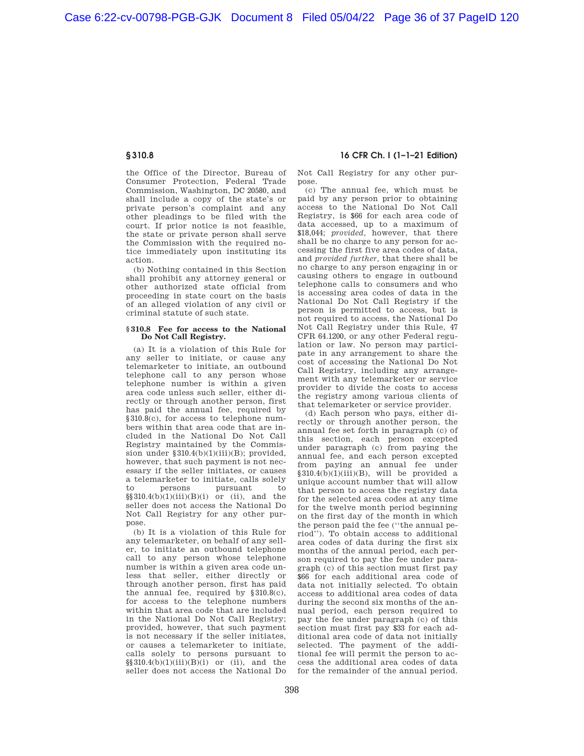the Office of the Director, Bureau of Consumer Protection, Federal Trade Commission, Washington, DC 20580, and shall include a copy of the state's or private person's complaint and any other pleadings to be filed with the court. If prior notice is not feasible, the state or private person shall serve the Commission with the required notice immediately upon instituting its action.

(b) Nothing contained in this Section shall prohibit any attorney general or other authorized state official from proceeding in state court on the basis of an alleged violation of any civil or criminal statute of such state.

#### **§ 310.8 Fee for access to the National Do Not Call Registry.**

(a) It is a violation of this Rule for any seller to initiate, or cause any telemarketer to initiate, an outbound telephone call to any person whose telephone number is within a given area code unless such seller, either directly or through another person, first has paid the annual fee, required by §310.8(c), for access to telephone numbers within that area code that are included in the National Do Not Call Registry maintained by the Commission under  $$310.4(b)(1)(iii)(B);$  provided, however, that such payment is not necessary if the seller initiates, or causes a telemarketer to initiate, calls solely to persons pursuant to  $\S(310.4(b)(1)(iii)(B)(i)$  or (ii), and the seller does not access the National Do Not Call Registry for any other purpose.

(b) It is a violation of this Rule for any telemarketer, on behalf of any seller, to initiate an outbound telephone call to any person whose telephone number is within a given area code unless that seller, either directly or through another person, first has paid the annual fee, required by  $§310.8(c)$ , for access to the telephone numbers within that area code that are included in the National Do Not Call Registry; provided, however, that such payment is not necessary if the seller initiates, or causes a telemarketer to initiate, calls solely to persons pursuant to  $\S\$ 310.4(b)(1)(iii)(B)(i) or (ii), and the seller does not access the National Do

**§ 310.8 16 CFR Ch. I (1–1–21 Edition)** 

Not Call Registry for any other purpose.

(c) The annual fee, which must be paid by any person prior to obtaining access to the National Do Not Call Registry, is \$66 for each area code of data accessed, up to a maximum of \$18,044; *provided,* however, that there shall be no charge to any person for accessing the first five area codes of data, and *provided further,* that there shall be no charge to any person engaging in or causing others to engage in outbound telephone calls to consumers and who is accessing area codes of data in the National Do Not Call Registry if the person is permitted to access, but is not required to access, the National Do Not Call Registry under this Rule, 47 CFR 64.1200, or any other Federal regulation or law. No person may participate in any arrangement to share the cost of accessing the National Do Not Call Registry, including any arrangement with any telemarketer or service provider to divide the costs to access the registry among various clients of that telemarketer or service provider.

(d) Each person who pays, either directly or through another person, the annual fee set forth in paragraph (c) of this section, each person excepted under paragraph (c) from paying the annual fee, and each person excepted from paying an annual fee under §310.4(b)(1)(iii)(B), will be provided a unique account number that will allow that person to access the registry data for the selected area codes at any time for the twelve month period beginning on the first day of the month in which the person paid the fee (''the annual period''). To obtain access to additional area codes of data during the first six months of the annual period, each person required to pay the fee under paragraph (c) of this section must first pay \$66 for each additional area code of data not initially selected. To obtain access to additional area codes of data during the second six months of the annual period, each person required to pay the fee under paragraph (c) of this section must first pay \$33 for each additional area code of data not initially selected. The payment of the additional fee will permit the person to access the additional area codes of data for the remainder of the annual period.